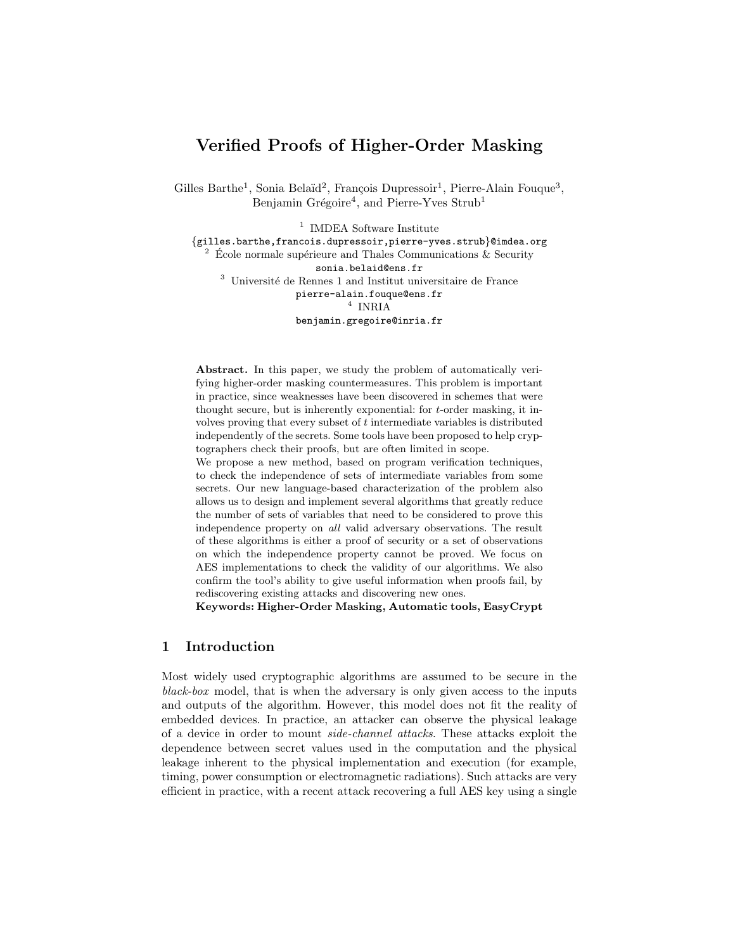# Verified Proofs of Higher-Order Masking

Gilles Barthe<sup>1</sup>, Sonia Belaïd<sup>2</sup>, François Dupressoir<sup>1</sup>, Pierre-Alain Fouque<sup>3</sup>, Benjamin Grégoire<sup>4</sup>, and Pierre-Yves Strub<sup>1</sup>

<sup>1</sup> IMDEA Software Institute {gilles.barthe,francois.dupressoir,pierre-yves.strub}@imdea.org  $2\,$  École normale supérieure and Thales Communications  $\&$  Security sonia.belaid@ens.fr  $3$  Université de Rennes 1 and Institut universitaire de France pierre-alain.fouque@ens.fr 4 INRIA benjamin.gregoire@inria.fr

Abstract. In this paper, we study the problem of automatically verifying higher-order masking countermeasures. This problem is important in practice, since weaknesses have been discovered in schemes that were thought secure, but is inherently exponential: for t-order masking, it involves proving that every subset of  $t$  intermediate variables is distributed independently of the secrets. Some tools have been proposed to help cryptographers check their proofs, but are often limited in scope.

We propose a new method, based on program verification techniques, to check the independence of sets of intermediate variables from some secrets. Our new language-based characterization of the problem also allows us to design and implement several algorithms that greatly reduce the number of sets of variables that need to be considered to prove this independence property on all valid adversary observations. The result of these algorithms is either a proof of security or a set of observations on which the independence property cannot be proved. We focus on AES implementations to check the validity of our algorithms. We also confirm the tool's ability to give useful information when proofs fail, by rediscovering existing attacks and discovering new ones.

Keywords: Higher-Order Masking, Automatic tools, EasyCrypt

# 1 Introduction

Most widely used cryptographic algorithms are assumed to be secure in the  $black-box$  model, that is when the adversary is only given access to the inputs and outputs of the algorithm. However, this model does not fit the reality of embedded devices. In practice, an attacker can observe the physical leakage of a device in order to mount side-channel attacks. These attacks exploit the dependence between secret values used in the computation and the physical leakage inherent to the physical implementation and execution (for example, timing, power consumption or electromagnetic radiations). Such attacks are very efficient in practice, with a recent attack recovering a full AES key using a single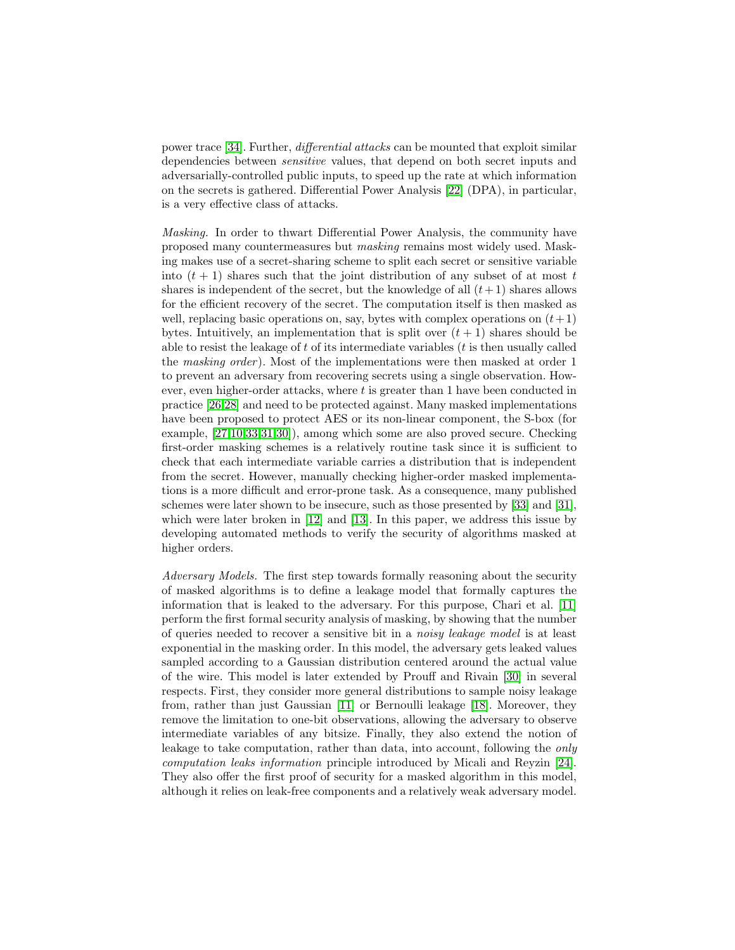power trace [\[34\]](#page-26-0). Further, differential attacks can be mounted that exploit similar dependencies between sensitive values, that depend on both secret inputs and adversarially-controlled public inputs, to speed up the rate at which information on the secrets is gathered. Differential Power Analysis [\[22\]](#page-25-0) (DPA), in particular, is a very effective class of attacks.

Masking. In order to thwart Differential Power Analysis, the community have proposed many countermeasures but masking remains most widely used. Masking makes use of a secret-sharing scheme to split each secret or sensitive variable into  $(t + 1)$  shares such that the joint distribution of any subset of at most t shares is independent of the secret, but the knowledge of all  $(t+1)$  shares allows for the efficient recovery of the secret. The computation itself is then masked as well, replacing basic operations on, say, bytes with complex operations on  $(t+1)$ bytes. Intuitively, an implementation that is split over  $(t + 1)$  shares should be able to resist the leakage of  $t$  of its intermediate variables  $(t)$  is then usually called the *masking order*). Most of the implementations were then masked at order 1 to prevent an adversary from recovering secrets using a single observation. However, even higher-order attacks, where  $t$  is greater than 1 have been conducted in practice [\[26](#page-26-1)[,28\]](#page-26-2) and need to be protected against. Many masked implementations have been proposed to protect AES or its non-linear component, the S-box (for example, [\[27](#page-26-3)[,10,](#page-25-1)[33,](#page-26-4)[31,](#page-26-5)[30\]](#page-26-6)), among which some are also proved secure. Checking first-order masking schemes is a relatively routine task since it is sufficient to check that each intermediate variable carries a distribution that is independent from the secret. However, manually checking higher-order masked implementations is a more difficult and error-prone task. As a consequence, many published schemes were later shown to be insecure, such as those presented by [\[33\]](#page-26-4) and [\[31\]](#page-26-5), which were later broken in [\[12\]](#page-25-2) and [\[13\]](#page-25-3). In this paper, we address this issue by developing automated methods to verify the security of algorithms masked at higher orders.

Adversary Models. The first step towards formally reasoning about the security of masked algorithms is to define a leakage model that formally captures the information that is leaked to the adversary. For this purpose, Chari et al. [\[11\]](#page-25-4) perform the first formal security analysis of masking, by showing that the number of queries needed to recover a sensitive bit in a noisy leakage model is at least exponential in the masking order. In this model, the adversary gets leaked values sampled according to a Gaussian distribution centered around the actual value of the wire. This model is later extended by Prouff and Rivain [\[30\]](#page-26-6) in several respects. First, they consider more general distributions to sample noisy leakage from, rather than just Gaussian [\[11\]](#page-25-4) or Bernoulli leakage [\[18\]](#page-25-5). Moreover, they remove the limitation to one-bit observations, allowing the adversary to observe intermediate variables of any bitsize. Finally, they also extend the notion of leakage to take computation, rather than data, into account, following the only computation leaks information principle introduced by Micali and Reyzin [\[24\]](#page-26-7). They also offer the first proof of security for a masked algorithm in this model, although it relies on leak-free components and a relatively weak adversary model.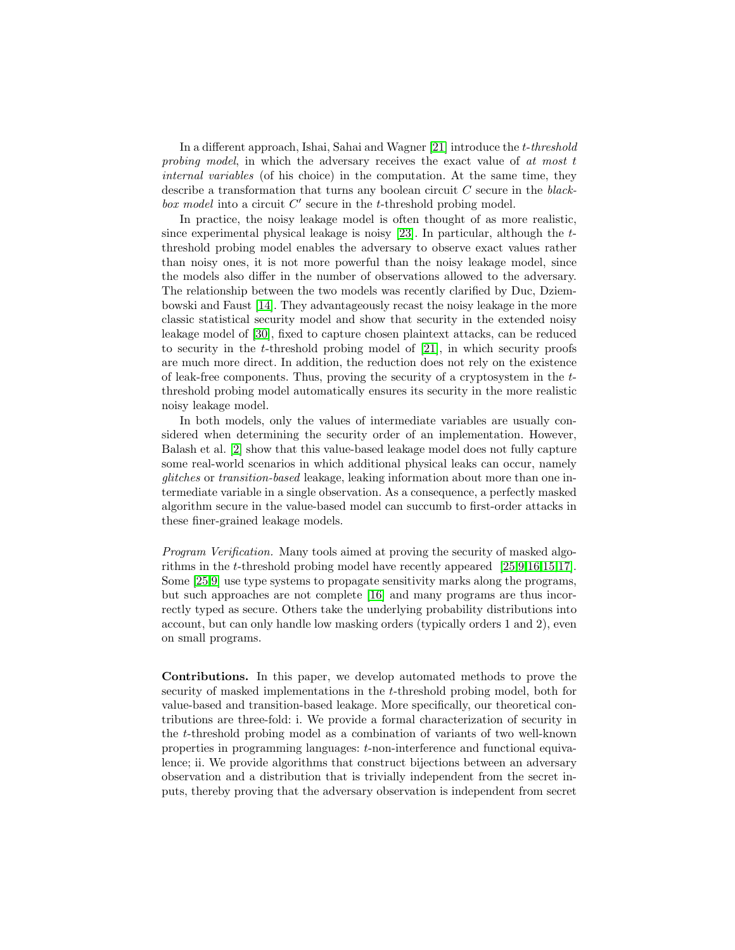In a different approach, Ishai, Sahai and Wagner [\[21\]](#page-25-6) introduce the t-threshold probing model, in which the adversary receives the exact value of at most t internal variables (of his choice) in the computation. At the same time, they describe a transformation that turns any boolean circuit  $C$  secure in the blackbox model into a circuit  $C'$  secure in the t-threshold probing model.

In practice, the noisy leakage model is often thought of as more realistic, since experimental physical leakage is noisy [\[23\]](#page-26-8). In particular, although the  $t$ threshold probing model enables the adversary to observe exact values rather than noisy ones, it is not more powerful than the noisy leakage model, since the models also differ in the number of observations allowed to the adversary. The relationship between the two models was recently clarified by Duc, Dziembowski and Faust [\[14\]](#page-25-7). They advantageously recast the noisy leakage in the more classic statistical security model and show that security in the extended noisy leakage model of [\[30\]](#page-26-6), fixed to capture chosen plaintext attacks, can be reduced to security in the t-threshold probing model of [\[21\]](#page-25-6), in which security proofs are much more direct. In addition, the reduction does not rely on the existence of leak-free components. Thus, proving the security of a cryptosystem in the tthreshold probing model automatically ensures its security in the more realistic noisy leakage model.

In both models, only the values of intermediate variables are usually considered when determining the security order of an implementation. However, Balash et al. [\[2\]](#page-24-0) show that this value-based leakage model does not fully capture some real-world scenarios in which additional physical leaks can occur, namely glitches or transition-based leakage, leaking information about more than one intermediate variable in a single observation. As a consequence, a perfectly masked algorithm secure in the value-based model can succumb to first-order attacks in these finer-grained leakage models.

Program Verification. Many tools aimed at proving the security of masked algorithms in the t-threshold probing model have recently appeared [\[25,](#page-26-9)[9,](#page-25-8)[16,](#page-25-9)[15,](#page-25-10)[17\]](#page-25-11). Some [\[25](#page-26-9)[,9\]](#page-25-8) use type systems to propagate sensitivity marks along the programs, but such approaches are not complete [\[16\]](#page-25-9) and many programs are thus incorrectly typed as secure. Others take the underlying probability distributions into account, but can only handle low masking orders (typically orders 1 and 2), even on small programs.

Contributions. In this paper, we develop automated methods to prove the security of masked implementations in the t-threshold probing model, both for value-based and transition-based leakage. More specifically, our theoretical contributions are three-fold: i. We provide a formal characterization of security in the t-threshold probing model as a combination of variants of two well-known properties in programming languages: t-non-interference and functional equivalence; ii. We provide algorithms that construct bijections between an adversary observation and a distribution that is trivially independent from the secret inputs, thereby proving that the adversary observation is independent from secret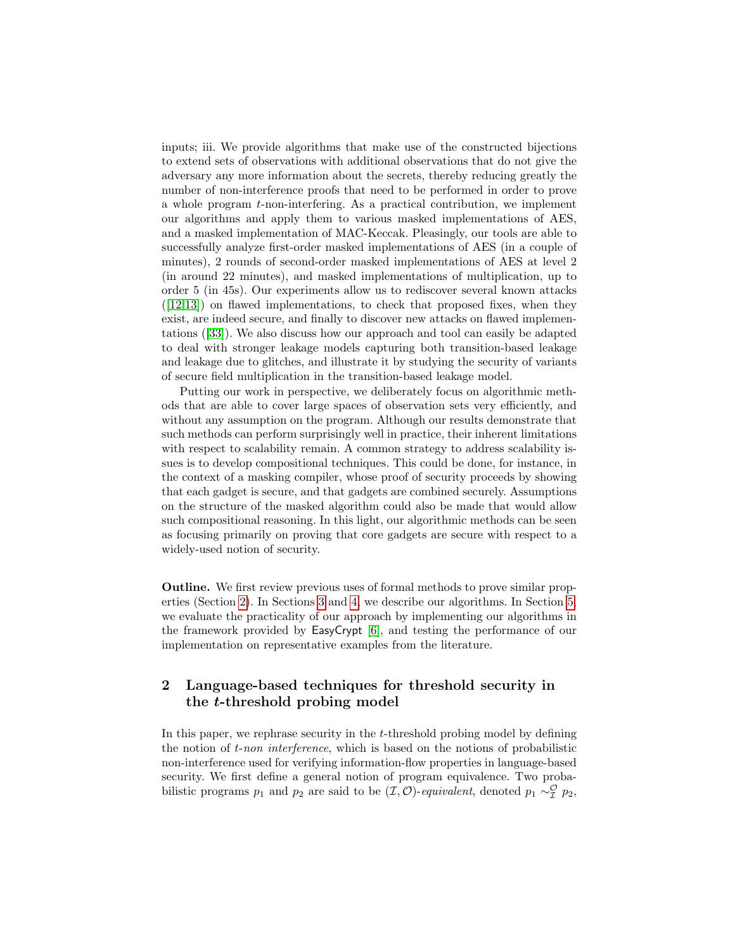inputs; iii. We provide algorithms that make use of the constructed bijections to extend sets of observations with additional observations that do not give the adversary any more information about the secrets, thereby reducing greatly the number of non-interference proofs that need to be performed in order to prove a whole program t-non-interfering. As a practical contribution, we implement our algorithms and apply them to various masked implementations of AES, and a masked implementation of MAC-Keccak. Pleasingly, our tools are able to successfully analyze first-order masked implementations of AES (in a couple of minutes), 2 rounds of second-order masked implementations of AES at level 2 (in around 22 minutes), and masked implementations of multiplication, up to order 5 (in 45s). Our experiments allow us to rediscover several known attacks  $([12,13])$  $([12,13])$  $([12,13])$  $([12,13])$  on flawed implementations, to check that proposed fixes, when they exist, are indeed secure, and finally to discover new attacks on flawed implementations ([\[33\]](#page-26-4)). We also discuss how our approach and tool can easily be adapted to deal with stronger leakage models capturing both transition-based leakage and leakage due to glitches, and illustrate it by studying the security of variants of secure field multiplication in the transition-based leakage model.

Putting our work in perspective, we deliberately focus on algorithmic methods that are able to cover large spaces of observation sets very efficiently, and without any assumption on the program. Although our results demonstrate that such methods can perform surprisingly well in practice, their inherent limitations with respect to scalability remain. A common strategy to address scalability issues is to develop compositional techniques. This could be done, for instance, in the context of a masking compiler, whose proof of security proceeds by showing that each gadget is secure, and that gadgets are combined securely. Assumptions on the structure of the masked algorithm could also be made that would allow such compositional reasoning. In this light, our algorithmic methods can be seen as focusing primarily on proving that core gadgets are secure with respect to a widely-used notion of security.

Outline. We first review previous uses of formal methods to prove similar properties (Section [2\)](#page-3-0). In Sections [3](#page-11-0) and [4,](#page-14-0) we describe our algorithms. In Section [5,](#page-19-0) we evaluate the practicality of our approach by implementing our algorithms in the framework provided by EasyCrypt [\[6\]](#page-24-1), and testing the performance of our implementation on representative examples from the literature.

# <span id="page-3-0"></span>2 Language-based techniques for threshold security in the t-threshold probing model

In this paper, we rephrase security in the t-threshold probing model by defining the notion of  $t$ -non interference, which is based on the notions of probabilistic non-interference used for verifying information-flow properties in language-based security. We first define a general notion of program equivalence. Two probabilistic programs  $p_1$  and  $p_2$  are said to be  $(\mathcal{I}, \mathcal{O})$ -equivalent, denoted  $p_1 \sim_{\mathcal{I}}^{\mathcal{O}} p_2$ ,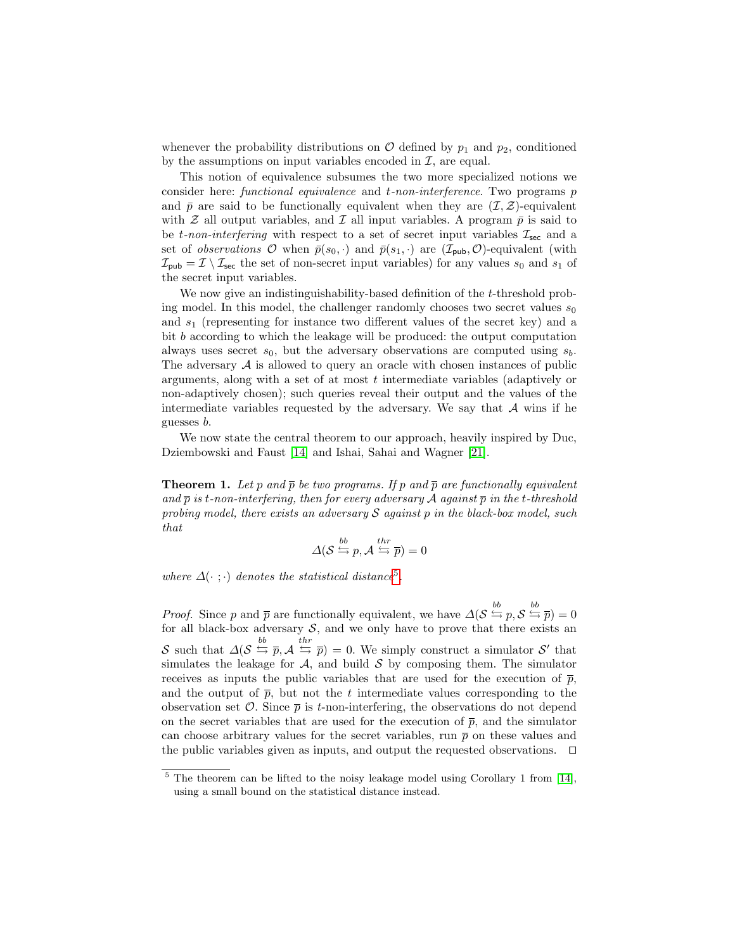whenever the probability distributions on  $\mathcal O$  defined by  $p_1$  and  $p_2$ , conditioned by the assumptions on input variables encoded in  $\mathcal{I}$ , are equal.

This notion of equivalence subsumes the two more specialized notions we consider here: functional equivalence and  $t$ -non-interference. Two programs  $p$ and  $\bar{p}$  are said to be functionally equivalent when they are  $(\mathcal{I}, \mathcal{Z})$ -equivalent with  $\mathcal Z$  all output variables, and  $\mathcal I$  all input variables. A program  $\bar p$  is said to be t-non-interfering with respect to a set of secret input variables  $\mathcal{I}_{\text{sec}}$  and a set of *observations*  $\mathcal O$  when  $\bar{p}(s_0, \cdot)$  and  $\bar{p}(s_1, \cdot)$  are  $(\mathcal I_{\text{pub}}, \mathcal O)$ -equivalent (with  $\mathcal{I}_{\text{pub}} = \mathcal{I} \setminus \mathcal{I}_{\text{sec}}$  the set of non-secret input variables) for any values  $s_0$  and  $s_1$  of the secret input variables.

We now give an indistinguishability-based definition of the  $t$ -threshold probing model. In this model, the challenger randomly chooses two secret values  $s_0$ and  $s_1$  (representing for instance two different values of the secret key) and a bit  $b$  according to which the leakage will be produced: the output computation always uses secret  $s_0$ , but the adversary observations are computed using  $s_b$ . The adversary  $A$  is allowed to query an oracle with chosen instances of public arguments, along with a set of at most t intermediate variables (adaptively or non-adaptively chosen); such queries reveal their output and the values of the intermediate variables requested by the adversary. We say that  $A$  wins if he guesses b.

We now state the central theorem to our approach, heavily inspired by Duc, Dziembowski and Faust [\[14\]](#page-25-7) and Ishai, Sahai and Wagner [\[21\]](#page-25-6).

<span id="page-4-1"></span>**Theorem 1.** Let p and  $\bar{p}$  be two programs. If p and  $\bar{p}$  are functionally equivalent and  $\bar{p}$  is t-non-interfering, then for every adversary A against  $\bar{p}$  in the t-threshold probing model, there exists an adversary  $S$  against p in the black-box model, such that

$$
\varDelta(\mathcal{S}\stackrel{bb}{\leftrightarrows} p,\mathcal{A}\stackrel{thr}{\leftrightarrows}\overline{p})=0
$$

where  $\Delta(\cdot;\cdot)$  denotes the statistical distance<sup>[5](#page-4-0)</sup>.

*Proof.* Since p and  $\bar{p}$  are functionally equivalent, we have  $\Delta(S \stackrel{bb}{\leftrightarrows} p, S \stackrel{bb}{\leftrightharpoons} \bar{p}) = 0$ for all black-box adversary  $S$ , and we only have to prove that there exists an S such that  $\Delta(S \stackrel{bb}{\leftrightarrows} \overline{p}, \mathcal{A} \stackrel{thr}{\leftrightharpoons} \overline{p}) = 0$ . We simply construct a simulator S' that simulates the leakage for  $A$ , and build  $S$  by composing them. The simulator receives as inputs the public variables that are used for the execution of  $\bar{p}$ , and the output of  $\bar{p}$ , but not the t intermediate values corresponding to the observation set  $\mathcal O$ . Since  $\bar p$  is *t*-non-interfering, the observations do not depend on the secret variables that are used for the execution of  $\bar{p}$ , and the simulator can choose arbitrary values for the secret variables, run  $\bar{p}$  on these values and the public variables given as inputs, and output the requested observations.  $\Box$ 

<span id="page-4-0"></span> $5$  The theorem can be lifted to the noisy leakage model using Corollary 1 from [\[14\]](#page-25-7), using a small bound on the statistical distance instead.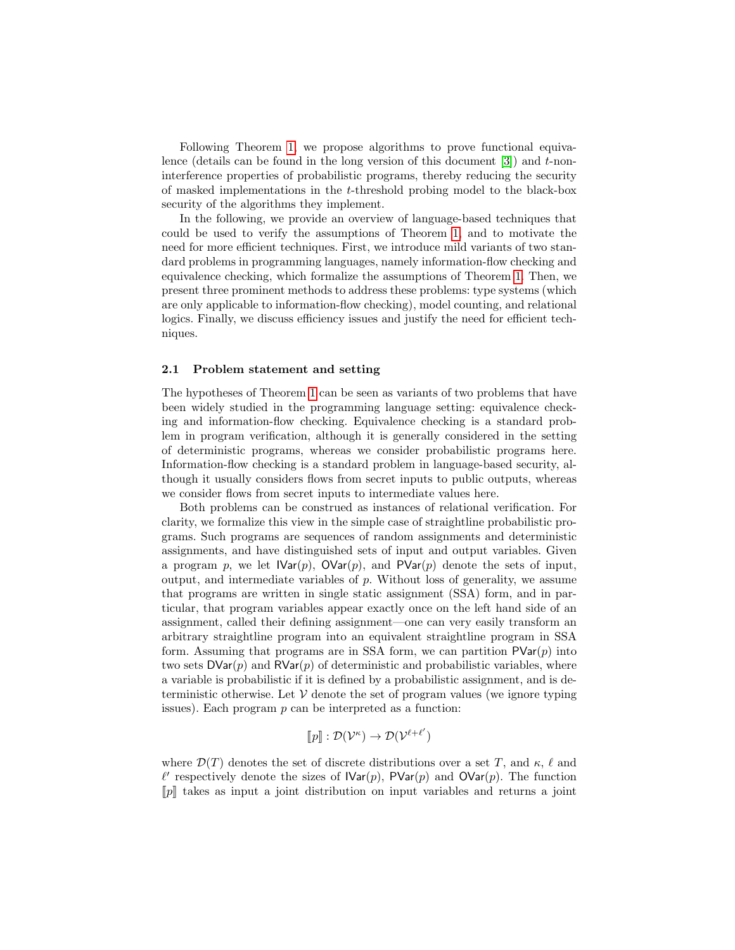Following Theorem [1,](#page-4-1) we propose algorithms to prove functional equivalence (details can be found in the long version of this document  $[3]$ ) and t-noninterference properties of probabilistic programs, thereby reducing the security of masked implementations in the t-threshold probing model to the black-box security of the algorithms they implement.

In the following, we provide an overview of language-based techniques that could be used to verify the assumptions of Theorem [1,](#page-4-1) and to motivate the need for more efficient techniques. First, we introduce mild variants of two standard problems in programming languages, namely information-flow checking and equivalence checking, which formalize the assumptions of Theorem [1.](#page-4-1) Then, we present three prominent methods to address these problems: type systems (which are only applicable to information-flow checking), model counting, and relational logics. Finally, we discuss efficiency issues and justify the need for efficient techniques.

#### 2.1 Problem statement and setting

The hypotheses of Theorem [1](#page-4-1) can be seen as variants of two problems that have been widely studied in the programming language setting: equivalence checking and information-flow checking. Equivalence checking is a standard problem in program verification, although it is generally considered in the setting of deterministic programs, whereas we consider probabilistic programs here. Information-flow checking is a standard problem in language-based security, although it usually considers flows from secret inputs to public outputs, whereas we consider flows from secret inputs to intermediate values here.

Both problems can be construed as instances of relational verification. For clarity, we formalize this view in the simple case of straightline probabilistic programs. Such programs are sequences of random assignments and deterministic assignments, and have distinguished sets of input and output variables. Given a program p, we let  $\text{Var}(p)$ ,  $\text{OVar}(p)$ , and  $\text{PVar}(p)$  denote the sets of input, output, and intermediate variables of  $p$ . Without loss of generality, we assume that programs are written in single static assignment (SSA) form, and in particular, that program variables appear exactly once on the left hand side of an assignment, called their defining assignment—one can very easily transform an arbitrary straightline program into an equivalent straightline program in SSA form. Assuming that programs are in SSA form, we can partition  $PVar(p)$  into two sets  $DVar(p)$  and  $RVar(p)$  of deterministic and probabilistic variables, where a variable is probabilistic if it is defined by a probabilistic assignment, and is deterministic otherwise. Let  $\mathcal V$  denote the set of program values (we ignore typing issues). Each program  $p$  can be interpreted as a function:

$$
[\![p]\!]:\mathcal{D}(\mathcal{V}^\kappa)\to\mathcal{D}(\mathcal{V}^{\ell+\ell'})
$$

where  $\mathcal{D}(T)$  denotes the set of discrete distributions over a set T, and  $\kappa$ ,  $\ell$  and  $\ell'$  respectively denote the sizes of  $\text{Var}(p)$ ,  $\text{PVar}(p)$  and  $\text{OVar}(p)$ . The function  $\llbracket p \rrbracket$  takes as input a joint distribution on input variables and returns a joint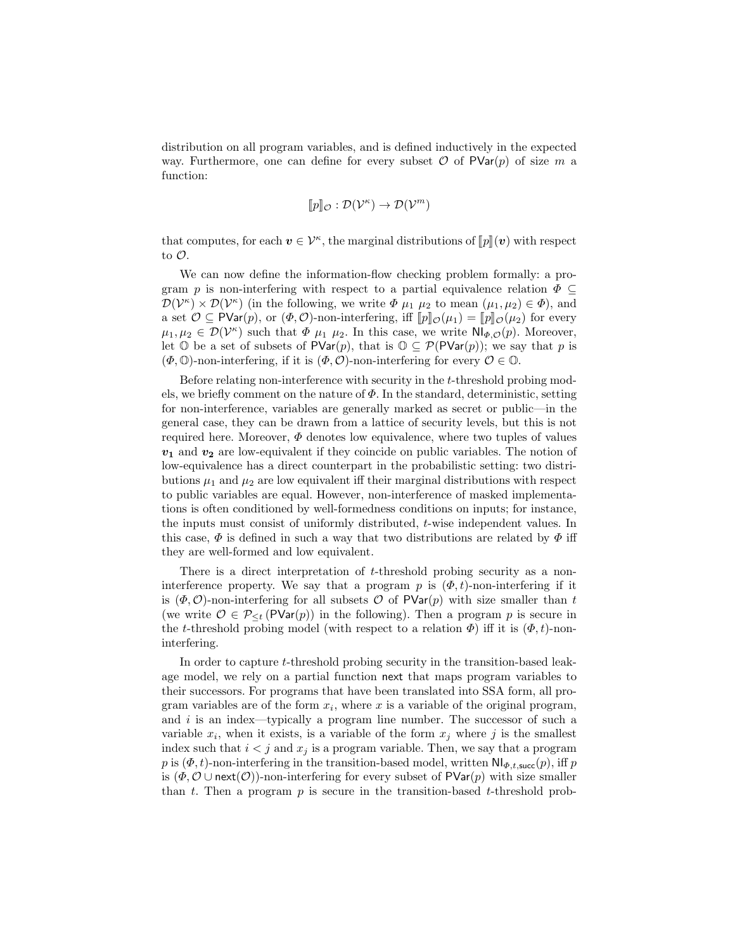distribution on all program variables, and is defined inductively in the expected way. Furthermore, one can define for every subset  $\mathcal O$  of PVar $(p)$  of size m a function:

$$
[\![p]\!]_{\mathcal{O}}:\mathcal{D}(\mathcal{V}^\kappa)\rightarrow \mathcal{D}(\mathcal{V}^m)
$$

that computes, for each  $v \in \mathcal{V}^{\kappa}$ , the marginal distributions of  $[\![p]\!](v)$  with respect to  $\mathcal{O}$ to O.

We can now define the information-flow checking problem formally: a program p is non-interfering with respect to a partial equivalence relation  $\Phi \subseteq$  $\mathcal{D}(\mathcal{V}^{\kappa}) \times \mathcal{D}(\mathcal{V}^{\kappa})$  (in the following, we write  $\Phi \mu_1 \mu_2$  to mean  $(\mu_1, \mu_2) \in \Phi$ ), and a set  $\mathcal{O} \subseteq \text{PVar}(p)$ , or  $(\Phi, \mathcal{O})$ -non-interfering, iff  $[\![p]\!]_{\mathcal{O}}(\mu_1) = [\![p]\!]_{\mathcal{O}}(\mu_2)$  for every  $\mu_1, \mu_2 \in \mathcal{D}(\mathcal{V}^{\kappa})$  such that  $\Phi$   $\mu_1$   $\mu_2$ . In this case, we write  $\mathsf{NI}_{\Phi,\mathcal{O}}(p)$ . Moreover, let  $\mathbb O$  be a set of subsets of PVar(p), that is  $\mathbb O \subseteq \mathcal P(\mathsf{PVar}(p));$  we say that p is  $(\Phi, \mathbb{O})$ -non-interfering, if it is  $(\Phi, \mathcal{O})$ -non-interfering for every  $\mathcal{O} \in \mathbb{O}$ .

Before relating non-interference with security in the t-threshold probing models, we briefly comment on the nature of  $\Phi$ . In the standard, deterministic, setting for non-interference, variables are generally marked as secret or public—in the general case, they can be drawn from a lattice of security levels, but this is not required here. Moreover,  $\Phi$  denotes low equivalence, where two tuples of values  $v_1$  and  $v_2$  are low-equivalent if they coincide on public variables. The notion of low-equivalence has a direct counterpart in the probabilistic setting: two distributions  $\mu_1$  and  $\mu_2$  are low equivalent iff their marginal distributions with respect to public variables are equal. However, non-interference of masked implementations is often conditioned by well-formedness conditions on inputs; for instance, the inputs must consist of uniformly distributed, t-wise independent values. In this case,  $\Phi$  is defined in such a way that two distributions are related by  $\Phi$  iff they are well-formed and low equivalent.

There is a direct interpretation of t-threshold probing security as a noninterference property. We say that a program p is  $(\Phi, t)$ -non-interfering if it is  $(\Phi, \mathcal{O})$ -non-interfering for all subsets  $\mathcal O$  of PVar $(p)$  with size smaller than t (we write  $\mathcal{O} \in \mathcal{P}_{\leq t}(\text{PVar}(p))$  in the following). Then a program p is secure in the t-threshold probing model (with respect to a relation  $\Phi$ ) iff it is  $(\Phi, t)$ -noninterfering.

In order to capture t-threshold probing security in the transition-based leakage model, we rely on a partial function next that maps program variables to their successors. For programs that have been translated into SSA form, all program variables are of the form  $x_i$ , where x is a variable of the original program, and  $i$  is an index—typically a program line number. The successor of such a variable  $x_i$ , when it exists, is a variable of the form  $x_j$  where j is the smallest index such that  $i < j$  and  $x_j$  is a program variable. Then, we say that a program p is  $(\Phi, t)$ -non-interfering in the transition-based model, written  $\mathsf{NI}_{\Phi,t,\text{succ}}(p)$ , iff p is  $(\Phi, \mathcal{O} \cup \text{next}(\mathcal{O}))$ -non-interfering for every subset of PVar $(p)$  with size smaller than t. Then a program  $p$  is secure in the transition-based t-threshold prob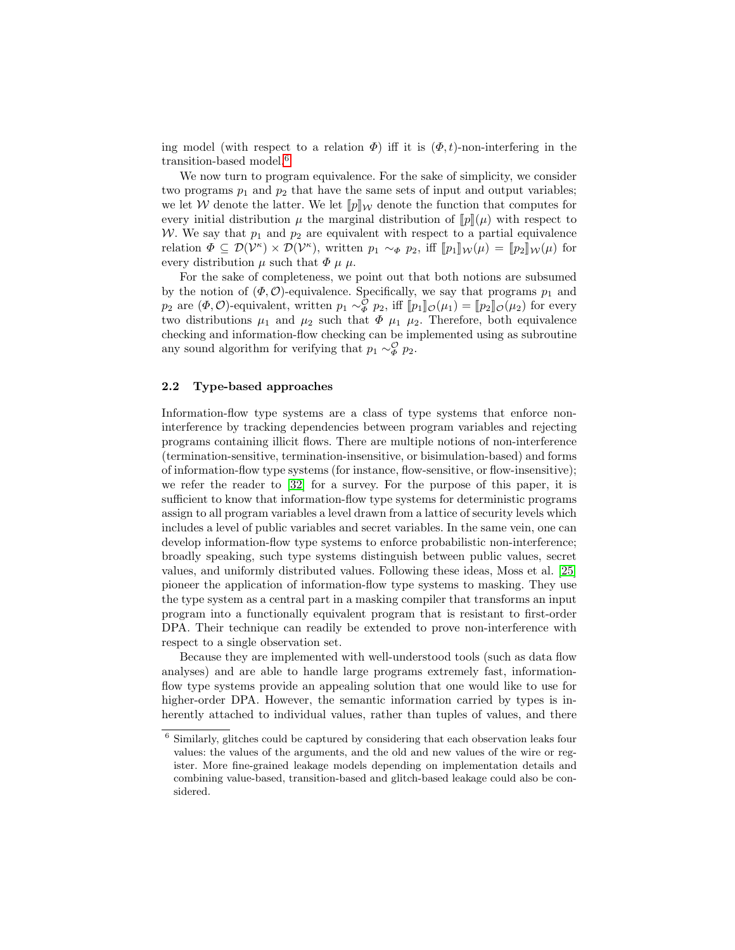ing model (with respect to a relation  $\Phi$ ) iff it is  $(\Phi, t)$ -non-interfering in the transition-based model.[6](#page-7-0)

We now turn to program equivalence. For the sake of simplicity, we consider two programs  $p_1$  and  $p_2$  that have the same sets of input and output variables; we let W denote the latter. We let  $[p]_{W}$  denote the function that computes for every initial distribution  $\mu$  the marginal distribution of  $[\![p]\!](\mu)$  with respect to W. We say that  $p_1$  and  $p_2$  are equivalent with respect to a partial equivalence relation  $\Phi \subseteq \mathcal{D}(\mathcal{V}^{\kappa}) \times \mathcal{D}(\mathcal{V}^{\kappa})$ , written  $p_1 \sim_{\Phi} p_2$ , iff  $[\![p_1]\!]_{\mathcal{W}}(\mu) = [\![p_2]\!]_{\mathcal{W}}(\mu)$  for every distribution  $\mu$  such that  $\Phi$   $\mu$   $\mu$ .

For the sake of completeness, we point out that both notions are subsumed by the notion of  $(\Phi, \mathcal{O})$ -equivalence. Specifically, we say that programs  $p_1$  and p<sub>2</sub> are  $(\Phi, \mathcal{O})$ -equivalent, written  $p_1 \sim_{\Phi}^{\mathcal{O}} p_2$ , iff  $[\![p_1]\!]_{\mathcal{O}}(\mu_1) = [\![p_2]\!]_{\mathcal{O}}(\mu_2)$  for every two distributions  $\mu_1$  and  $\mu_2$  such that  $\Phi$   $\mu_1$   $\mu_2$ . Therefore, both equivalence checking and information-flow checking can be implemented using as subroutine any sound algorithm for verifying that  $p_1 \sim_{\Phi}^{\mathcal{O}} p_2$ .

### 2.2 Type-based approaches

Information-flow type systems are a class of type systems that enforce noninterference by tracking dependencies between program variables and rejecting programs containing illicit flows. There are multiple notions of non-interference (termination-sensitive, termination-insensitive, or bisimulation-based) and forms of information-flow type systems (for instance, flow-sensitive, or flow-insensitive); we refer the reader to [\[32\]](#page-26-10) for a survey. For the purpose of this paper, it is sufficient to know that information-flow type systems for deterministic programs assign to all program variables a level drawn from a lattice of security levels which includes a level of public variables and secret variables. In the same vein, one can develop information-flow type systems to enforce probabilistic non-interference; broadly speaking, such type systems distinguish between public values, secret values, and uniformly distributed values. Following these ideas, Moss et al. [\[25\]](#page-26-9) pioneer the application of information-flow type systems to masking. They use the type system as a central part in a masking compiler that transforms an input program into a functionally equivalent program that is resistant to first-order DPA. Their technique can readily be extended to prove non-interference with respect to a single observation set.

Because they are implemented with well-understood tools (such as data flow analyses) and are able to handle large programs extremely fast, informationflow type systems provide an appealing solution that one would like to use for higher-order DPA. However, the semantic information carried by types is inherently attached to individual values, rather than tuples of values, and there

<span id="page-7-0"></span><sup>6</sup> Similarly, glitches could be captured by considering that each observation leaks four values: the values of the arguments, and the old and new values of the wire or register. More fine-grained leakage models depending on implementation details and combining value-based, transition-based and glitch-based leakage could also be considered.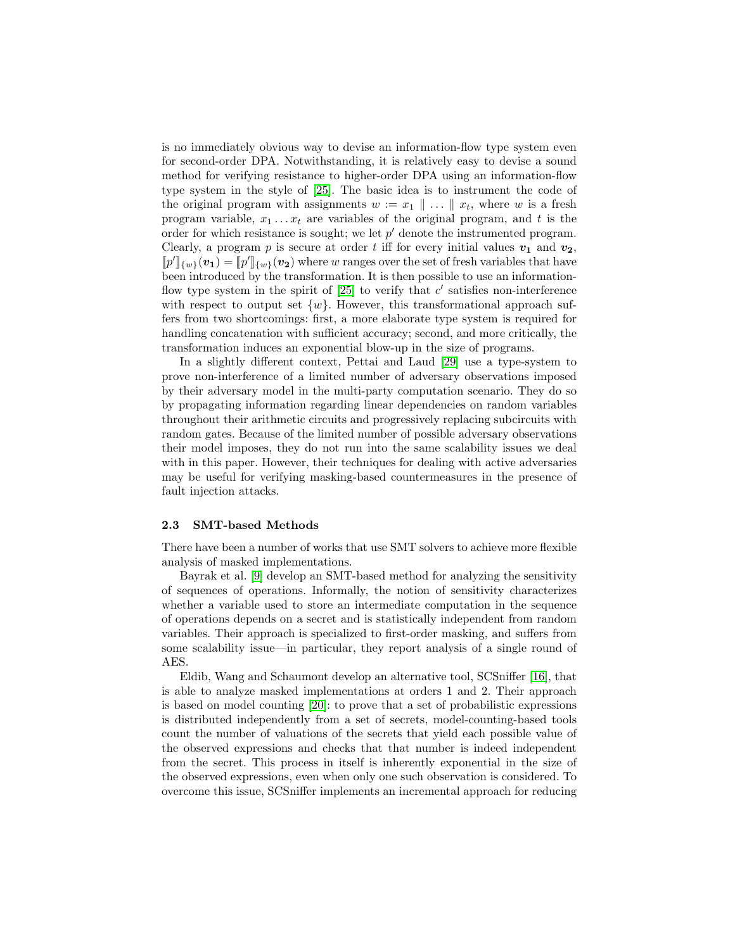is no immediately obvious way to devise an information-flow type system even for second-order DPA. Notwithstanding, it is relatively easy to devise a sound method for verifying resistance to higher-order DPA using an information-flow type system in the style of [\[25\]](#page-26-9). The basic idea is to instrument the code of the original program with assignments  $w := x_1 \parallel \ldots \parallel x_t$ , where w is a fresh program variable,  $x_1 \ldots x_t$  are variables of the original program, and t is the order for which resistance is sought; we let  $p'$  denote the instrumented program. Clearly, a program p is secure at order t iff for every initial values  $v_1$  and  $v_2$ ,  $[\![p']\!]_{\{w\}}(v_1) = [\![p']\!]_{\{w\}}(v_2)$  where w ranges over the set of fresh variables that have<br>been introduced by the transformation. It is then possible to use an information been introduced by the transformation. It is then possible to use an informationflow type system in the spirit of  $[25]$  to verify that  $c'$  satisfies non-interference with respect to output set  $\{w\}$ . However, this transformational approach suffers from two shortcomings: first, a more elaborate type system is required for handling concatenation with sufficient accuracy; second, and more critically, the transformation induces an exponential blow-up in the size of programs.

In a slightly different context, Pettai and Laud [\[29\]](#page-26-11) use a type-system to prove non-interference of a limited number of adversary observations imposed by their adversary model in the multi-party computation scenario. They do so by propagating information regarding linear dependencies on random variables throughout their arithmetic circuits and progressively replacing subcircuits with random gates. Because of the limited number of possible adversary observations their model imposes, they do not run into the same scalability issues we deal with in this paper. However, their techniques for dealing with active adversaries may be useful for verifying masking-based countermeasures in the presence of fault injection attacks.

#### 2.3 SMT-based Methods

There have been a number of works that use SMT solvers to achieve more flexible analysis of masked implementations.

Bayrak et al. [\[9\]](#page-25-8) develop an SMT-based method for analyzing the sensitivity of sequences of operations. Informally, the notion of sensitivity characterizes whether a variable used to store an intermediate computation in the sequence of operations depends on a secret and is statistically independent from random variables. Their approach is specialized to first-order masking, and suffers from some scalability issue—in particular, they report analysis of a single round of AES.

Eldib, Wang and Schaumont develop an alternative tool, SCSniffer [\[16\]](#page-25-9), that is able to analyze masked implementations at orders 1 and 2. Their approach is based on model counting [\[20\]](#page-25-12): to prove that a set of probabilistic expressions is distributed independently from a set of secrets, model-counting-based tools count the number of valuations of the secrets that yield each possible value of the observed expressions and checks that that number is indeed independent from the secret. This process in itself is inherently exponential in the size of the observed expressions, even when only one such observation is considered. To overcome this issue, SCSniffer implements an incremental approach for reducing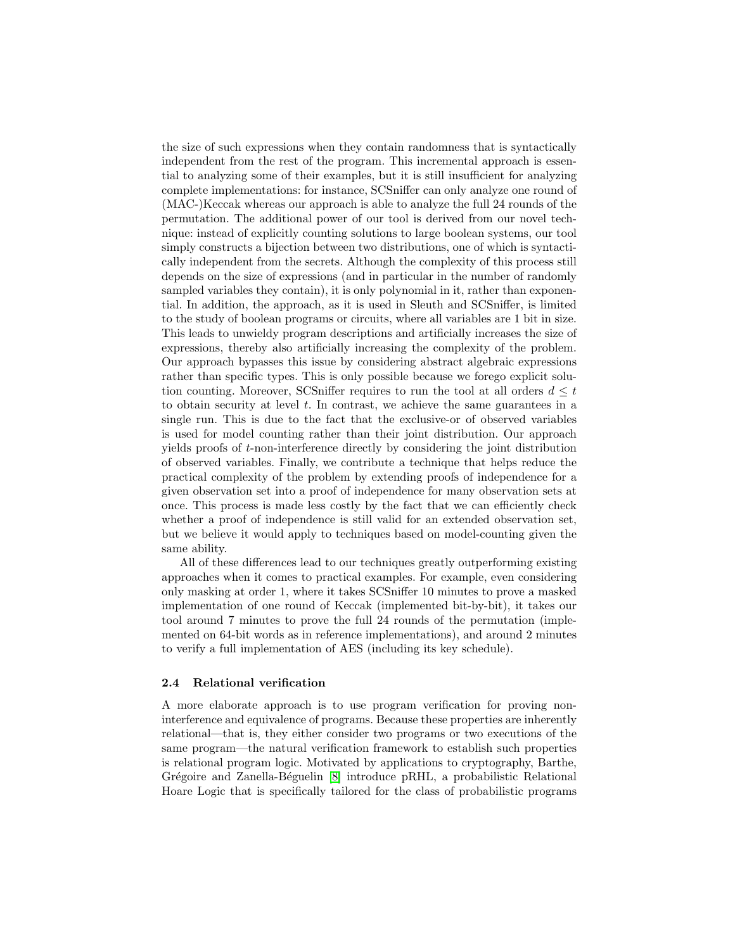the size of such expressions when they contain randomness that is syntactically independent from the rest of the program. This incremental approach is essential to analyzing some of their examples, but it is still insufficient for analyzing complete implementations: for instance, SCSniffer can only analyze one round of (MAC-)Keccak whereas our approach is able to analyze the full 24 rounds of the permutation. The additional power of our tool is derived from our novel technique: instead of explicitly counting solutions to large boolean systems, our tool simply constructs a bijection between two distributions, one of which is syntactically independent from the secrets. Although the complexity of this process still depends on the size of expressions (and in particular in the number of randomly sampled variables they contain), it is only polynomial in it, rather than exponential. In addition, the approach, as it is used in Sleuth and SCSniffer, is limited to the study of boolean programs or circuits, where all variables are 1 bit in size. This leads to unwieldy program descriptions and artificially increases the size of expressions, thereby also artificially increasing the complexity of the problem. Our approach bypasses this issue by considering abstract algebraic expressions rather than specific types. This is only possible because we forego explicit solution counting. Moreover, SCSniffer requires to run the tool at all orders  $d \leq t$ to obtain security at level  $t$ . In contrast, we achieve the same guarantees in a single run. This is due to the fact that the exclusive-or of observed variables is used for model counting rather than their joint distribution. Our approach yields proofs of t-non-interference directly by considering the joint distribution of observed variables. Finally, we contribute a technique that helps reduce the practical complexity of the problem by extending proofs of independence for a given observation set into a proof of independence for many observation sets at once. This process is made less costly by the fact that we can efficiently check whether a proof of independence is still valid for an extended observation set, but we believe it would apply to techniques based on model-counting given the same ability.

All of these differences lead to our techniques greatly outperforming existing approaches when it comes to practical examples. For example, even considering only masking at order 1, where it takes SCSniffer 10 minutes to prove a masked implementation of one round of Keccak (implemented bit-by-bit), it takes our tool around 7 minutes to prove the full 24 rounds of the permutation (implemented on 64-bit words as in reference implementations), and around 2 minutes to verify a full implementation of AES (including its key schedule).

#### <span id="page-9-0"></span>2.4 Relational verification

A more elaborate approach is to use program verification for proving noninterference and equivalence of programs. Because these properties are inherently relational—that is, they either consider two programs or two executions of the same program—the natural verification framework to establish such properties is relational program logic. Motivated by applications to cryptography, Barthe, Grégoire and Zanella-Béguelin [\[8\]](#page-25-13) introduce pRHL, a probabilistic Relational Hoare Logic that is specifically tailored for the class of probabilistic programs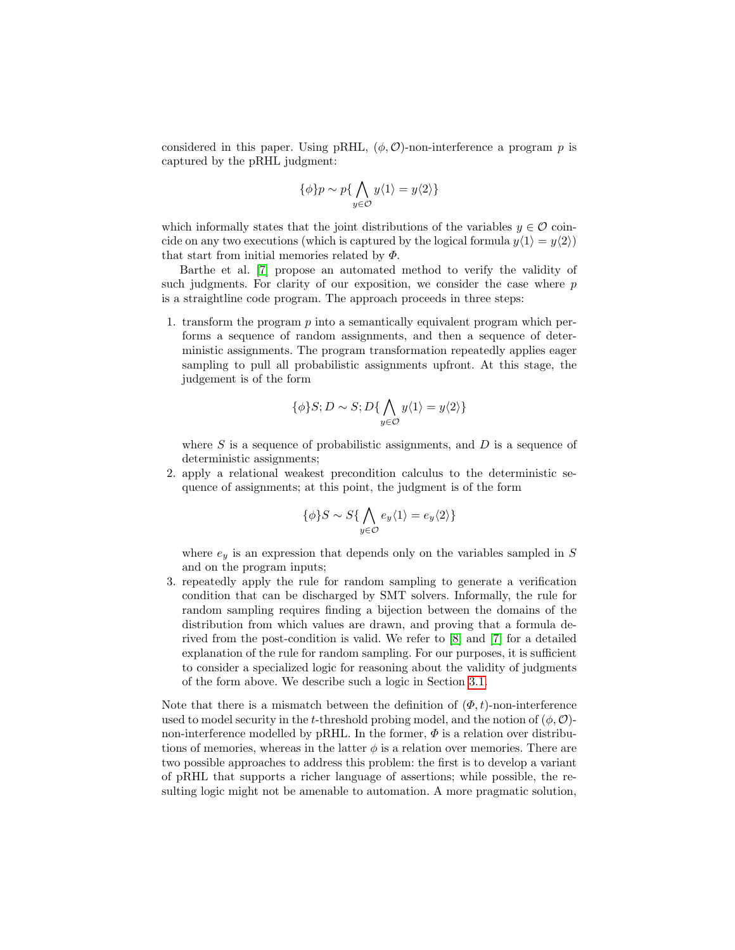considered in this paper. Using pRHL,  $(\phi, \mathcal{O})$ -non-interference a program p is captured by the pRHL judgment:

$$
\{\phi\}p \sim p\{\bigwedge_{y \in \mathcal{O}} y\langle 1 \rangle = y\langle 2 \rangle\}
$$

which informally states that the joint distributions of the variables  $y \in \mathcal{O}$  coincide on any two executions (which is captured by the logical formula  $y(1) = y(2)$ ) that start from initial memories related by  $\Phi$ .

Barthe et al. [\[7\]](#page-25-14) propose an automated method to verify the validity of such judgments. For clarity of our exposition, we consider the case where  $p$ is a straightline code program. The approach proceeds in three steps:

1. transform the program  $p$  into a semantically equivalent program which performs a sequence of random assignments, and then a sequence of deterministic assignments. The program transformation repeatedly applies eager sampling to pull all probabilistic assignments upfront. At this stage, the judgement is of the form

$$
\{\phi\}S; D \sim S; D\{\bigwedge_{y \in \mathcal{O}} y\langle 1 \rangle = y\langle 2 \rangle\}
$$

where  $S$  is a sequence of probabilistic assignments, and  $D$  is a sequence of deterministic assignments;

2. apply a relational weakest precondition calculus to the deterministic sequence of assignments; at this point, the judgment is of the form

$$
\{\phi\}S \sim S\{\bigwedge_{y \in \mathcal{O}} e_y\langle 1 \rangle = e_y\langle 2 \rangle\}
$$

where  $e_y$  is an expression that depends only on the variables sampled in S and on the program inputs;

3. repeatedly apply the rule for random sampling to generate a verification condition that can be discharged by SMT solvers. Informally, the rule for random sampling requires finding a bijection between the domains of the distribution from which values are drawn, and proving that a formula derived from the post-condition is valid. We refer to [\[8\]](#page-25-13) and [\[7\]](#page-25-14) for a detailed explanation of the rule for random sampling. For our purposes, it is sufficient to consider a specialized logic for reasoning about the validity of judgments of the form above. We describe such a logic in Section [3.1.](#page-11-1)

Note that there is a mismatch between the definition of  $(\Phi, t)$ -non-interference used to model security in the t-threshold probing model, and the notion of  $(\phi, \mathcal{O})$ non-interference modelled by pRHL. In the former,  $\Phi$  is a relation over distributions of memories, whereas in the latter  $\phi$  is a relation over memories. There are two possible approaches to address this problem: the first is to develop a variant of pRHL that supports a richer language of assertions; while possible, the resulting logic might not be amenable to automation. A more pragmatic solution,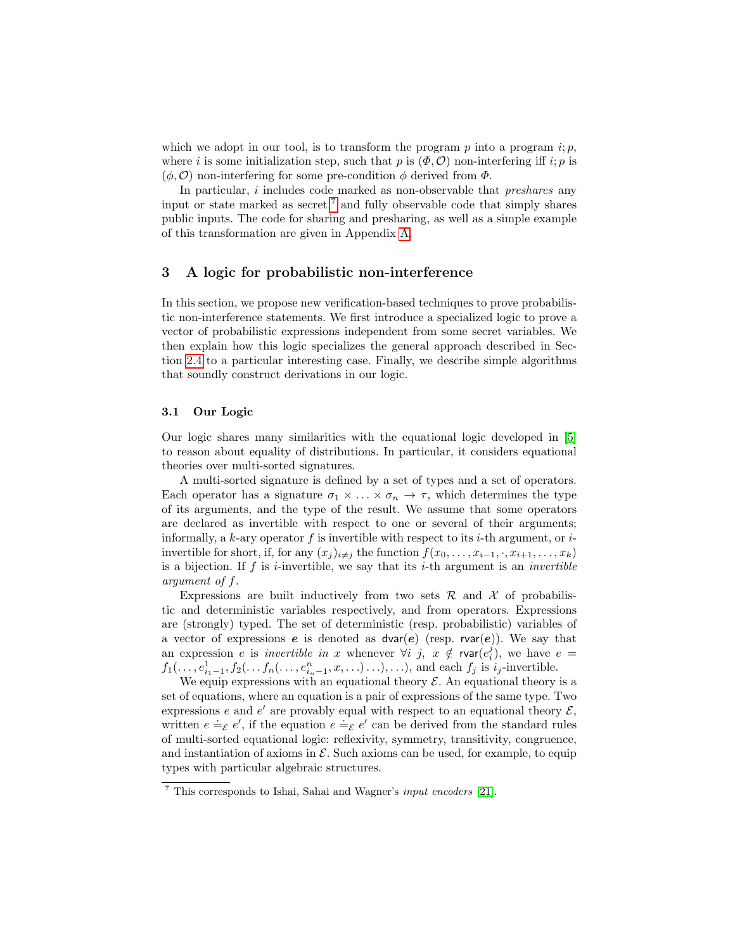which we adopt in our tool, is to transform the program  $p$  into a program  $i; p$ , where i is some initialization step, such that p is  $(\Phi, \mathcal{O})$  non-interfering iff i; p is  $(\phi, \mathcal{O})$  non-interfering for some pre-condition  $\phi$  derived from  $\Phi$ .

In particular, i includes code marked as non-observable that *preshares* any input or state marked as secret,<sup>[7](#page-11-2)</sup> and fully observable code that simply shares public inputs. The code for sharing and presharing, as well as a simple example of this transformation are given in Appendix [A.](#page-26-12)

## <span id="page-11-0"></span>3 A logic for probabilistic non-interference

In this section, we propose new verification-based techniques to prove probabilistic non-interference statements. We first introduce a specialized logic to prove a vector of probabilistic expressions independent from some secret variables. We then explain how this logic specializes the general approach described in Section [2.4](#page-9-0) to a particular interesting case. Finally, we describe simple algorithms that soundly construct derivations in our logic.

### <span id="page-11-1"></span>3.1 Our Logic

Our logic shares many similarities with the equational logic developed in [\[5\]](#page-24-3) to reason about equality of distributions. In particular, it considers equational theories over multi-sorted signatures.

A multi-sorted signature is defined by a set of types and a set of operators. Each operator has a signature  $\sigma_1 \times \ldots \times \sigma_n \to \tau$ , which determines the type of its arguments, and the type of the result. We assume that some operators are declared as invertible with respect to one or several of their arguments; informally, a k-ary operator f is invertible with respect to its i-th argument, or iinvertible for short, if, for any  $(x_j)_{i\neq j}$  the function  $f(x_0, \ldots, x_{i-1}, \cdot, x_{i+1}, \ldots, x_k)$ is a bijection. If  $f$  is *i*-invertible, we say that its *i*-th argument is an *invertible* argument of f.

Expressions are built inductively from two sets  $\mathcal R$  and  $\mathcal X$  of probabilistic and deterministic variables respectively, and from operators. Expressions are (strongly) typed. The set of deterministic (resp. probabilistic) variables of a vector of expressions e is denoted as  $dvar(e)$  (resp. rvar $(e)$ ). We say that an expression e is *invertible in x* whenever  $\forall i$  j,  $x \notin \text{rvar}(e_i^j)$ , we have  $e =$  $f_1(\ldots, e_{i_1-1}^1, f_2(\ldots, f_n(\ldots, e_{i_n-1}^n, x, \ldots), \ldots),$  and each  $f_j$  is  $i_j$ -invertible.

We equip expressions with an equational theory  $\mathcal{E}$ . An equational theory is a set of equations, where an equation is a pair of expressions of the same type. Two expressions e and e' are provably equal with respect to an equational theory  $\mathcal{E},$ written  $e \doteq_{\mathcal{E}} e'$ , if the equation  $e \doteq_{\mathcal{E}} e'$  can be derived from the standard rules of multi-sorted equational logic: reflexivity, symmetry, transitivity, congruence, and instantiation of axioms in  $\mathcal{E}$ . Such axioms can be used, for example, to equip types with particular algebraic structures.

<span id="page-11-2"></span><sup>7</sup> This corresponds to Ishai, Sahai and Wagner's input encoders [\[21\]](#page-25-6).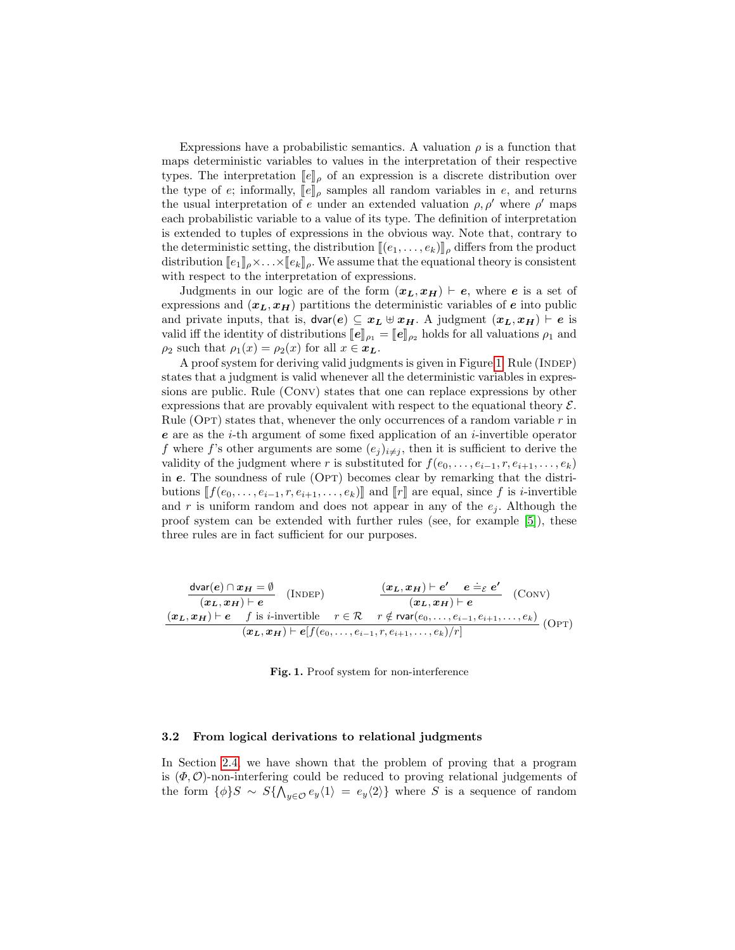Expressions have a probabilistic semantics. A valuation  $\rho$  is a function that maps deterministic variables to values in the interpretation of their respective types. The interpretation  $\llbracket e \rrbracket_{\rho}$  of an expression is a discrete distribution over the type of  $e$ ; informally,  $[\![e]\!]_\rho$  samples all random variables in  $e$ , and returns the usual interpretation of e under an extended valuation  $\rho, \rho'$  where  $\rho'$  maps each probabilistic variable to a value of its type. The definition of interpretation is extended to tuples of expressions in the obvious way. Note that, contrary to the deterministic setting, the distribution  $\llbracket (e_1, \ldots, e_k) \rrbracket_{\rho}$  differs from the product distribution  $\llbracket e_1 \rrbracket_\rho \times \ldots \times \llbracket e_k \rrbracket_\rho$ . We assume that the equational theory is consistent with respect to the interpretation of expressions.

Judgments in our logic are of the form  $(x_L, x_H) \vdash e$ , where e is a set of expressions and  $(x_L, x_H)$  partitions the deterministic variables of e into public and private inputs, that is,  $dvar(e) \subseteq x_L \oplus x_H$ . A judgment  $(x_L, x_H) \vdash e$  is valid iff the identity of distributions  $[\![e]\!]_{\rho_1} = [\![e]\!]_{\rho_2}$  holds for all valuations  $\rho_1$  and  $\rho_2$  such that  $\rho_1(x) = \rho_2(x)$  for all  $x \in \mathbf{x}_L$ .

A proof system for deriving valid judgments is given in Figure [1.](#page-12-0) Rule (INDEP) states that a judgment is valid whenever all the deterministic variables in expressions are public. Rule (Conv) states that one can replace expressions by other expressions that are provably equivalent with respect to the equational theory  $\mathcal{E}$ . Rule (OPT) states that, whenever the only occurrences of a random variable  $r$  in  $e$  are as the *i*-th argument of some fixed application of an *i*-invertible operator f where f's other arguments are some  $(e_j)_{i\neq j}$ , then it is sufficient to derive the validity of the judgment where r is substituted for  $f(e_0, \ldots, e_{i-1}, r, e_{i+1}, \ldots, e_k)$ in  $e$ . The soundness of rule (OPT) becomes clear by remarking that the distributions  $[[f(e_0, \ldots, e_{i-1}, r, e_{i+1}, \ldots, e_k)]]$  and  $[[r]]$  are equal, since f is i-invertible and r is uniform random and does not appear in any of the  $e_i$ . Although the proof system can be extended with further rules (see, for example [\[5\]](#page-24-3)), these three rules are in fact sufficient for our purposes.

<span id="page-12-0"></span>
$$
\frac{\text{dvar}(e) \cap x_H = \emptyset}{(x_L, x_H) \vdash e} \quad (\text{INDEP}) \qquad \frac{(x_L, x_H) \vdash e' \quad e \doteq_{\varepsilon} e'}{(x_L, x_H) \vdash e} \quad (\text{Conv})
$$
\n
$$
\frac{(x_L, x_H) \vdash e \quad f \text{ is } i\text{-invertible} \quad r \in \mathcal{R} \quad r \notin \text{var}(e_0, \dots, e_{i-1}, e_{i+1}, \dots, e_k)}{(x_L, x_H) \vdash e[f(e_0, \dots, e_{i-1}, r, e_{i+1}, \dots, e_k)/r]} \quad (\text{OPT})
$$

Fig. 1. Proof system for non-interference

#### 3.2 From logical derivations to relational judgments

In Section [2.4,](#page-9-0) we have shown that the problem of proving that a program is  $(\Phi, \mathcal{O})$ -non-interfering could be reduced to proving relational judgements of the form  $\{\phi\}S \sim S\{\bigwedge_{y \in \mathcal{O}} e_y\langle 1 \rangle = e_y\langle 2 \rangle\}$  where S is a sequence of random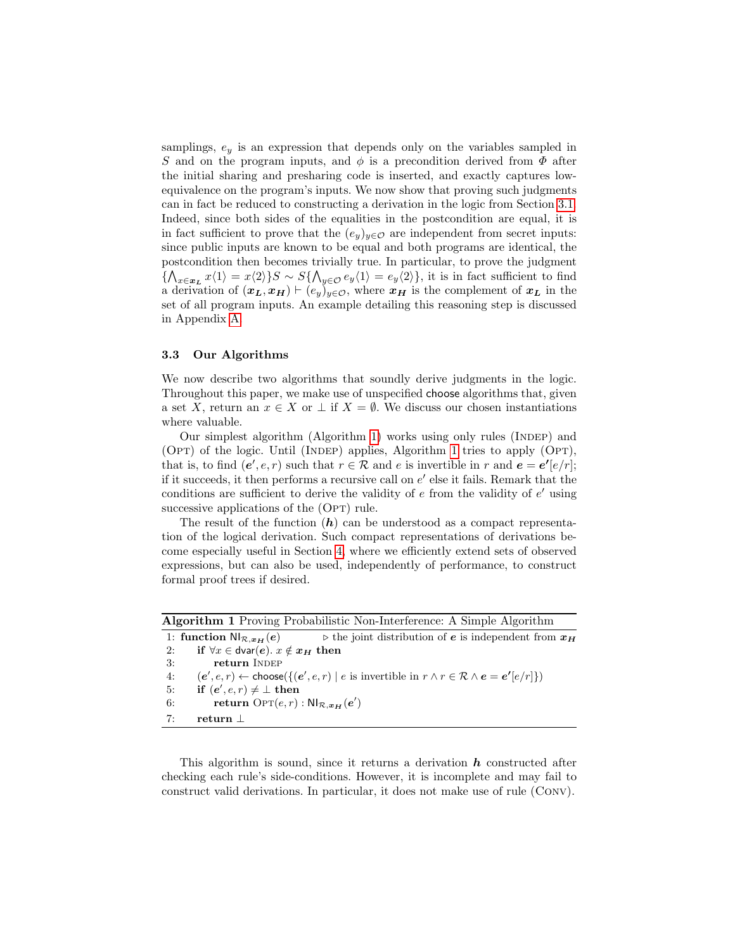samplings,  $e_y$  is an expression that depends only on the variables sampled in S and on the program inputs, and  $\phi$  is a precondition derived from  $\Phi$  after the initial sharing and presharing code is inserted, and exactly captures lowequivalence on the program's inputs. We now show that proving such judgments can in fact be reduced to constructing a derivation in the logic from Section [3.1.](#page-11-1) Indeed, since both sides of the equalities in the postcondition are equal, it is in fact sufficient to prove that the  $(e_y)_{y \in \mathcal{O}}$  are independent from secret inputs: since public inputs are known to be equal and both programs are identical, the postcondition then becomes trivially true. In particular, to prove the judgment  $\{\bigwedge_{x\in\mathbf{x}_L} x\langle 1\rangle = x\langle 2\rangle\}S \sim S\{\bigwedge_{y\in\mathcal{O}}e_y\langle 1\rangle = e_y\langle 2\rangle\}$ , it is in fact sufficient to find a derivation of  $(x_L, x_H) \vdash (e_y)_{y \in \mathcal{O}}$ , where  $x_H$  is the complement of  $x_L$  in the set of all program inputs. An example detailing this reasoning step is discussed in Appendix [A.](#page-26-12)

### 3.3 Our Algorithms

We now describe two algorithms that soundly derive judgments in the logic. Throughout this paper, we make use of unspecified choose algorithms that, given a set X, return an  $x \in X$  or  $\perp$  if  $X = \emptyset$ . We discuss our chosen instantiations where valuable.

Our simplest algorithm (Algorithm [1\)](#page-13-0) works using only rules (INDEP) and (OPT) of the logic. Until (INDEP) applies, Algorithm [1](#page-13-0) tries to apply (OPT), that is, to find  $(e', e, r)$  such that  $r \in \mathcal{R}$  and e is invertible in r and  $e = e'[e/r];$ if it succeeds, it then performs a recursive call on  $e'$  else it fails. Remark that the conditions are sufficient to derive the validity of  $e$  from the validity of  $e'$  using successive applications of the (OPT) rule.

The result of the function  $(h)$  can be understood as a compact representation of the logical derivation. Such compact representations of derivations become especially useful in Section [4,](#page-14-0) where we efficiently extend sets of observed expressions, but can also be used, independently of performance, to construct formal proof trees if desired.

<span id="page-13-0"></span>

|    | <b>Algorithm 1</b> Proving Probabilistic Non-Interference: A Simple Algorithm                                                                    |
|----|--------------------------------------------------------------------------------------------------------------------------------------------------|
|    | 1: function $\mathsf{NI}_{\mathcal{R},\bm{x}_{\bm{H}}}(\bm{e})$<br>$\triangleright$ the joint distribution of <b>e</b> is independent from $x_H$ |
|    | 2: if $\forall x \in \text{dvar}(e)$ . $x \notin x_H$ then                                                                                       |
| 3: | return INDEP                                                                                                                                     |
| 4: | $(e', e, r) \leftarrow \text{choose}(\{e', e, r) \mid e \text{ is invertible in } r \land r \in \mathcal{R} \land e = e'[e/r]\})$                |
| 5: | if $(e', e, r) \neq \bot$ then                                                                                                                   |
| 6: | return $\text{OPT}(e,r): \mathsf{NI}_{\mathcal{R},\mathbf{x}_{\mathcal{H}}}(e')$                                                                 |
| 7: | return 1                                                                                                                                         |

This algorithm is sound, since it returns a derivation  $h$  constructed after checking each rule's side-conditions. However, it is incomplete and may fail to construct valid derivations. In particular, it does not make use of rule (Conv).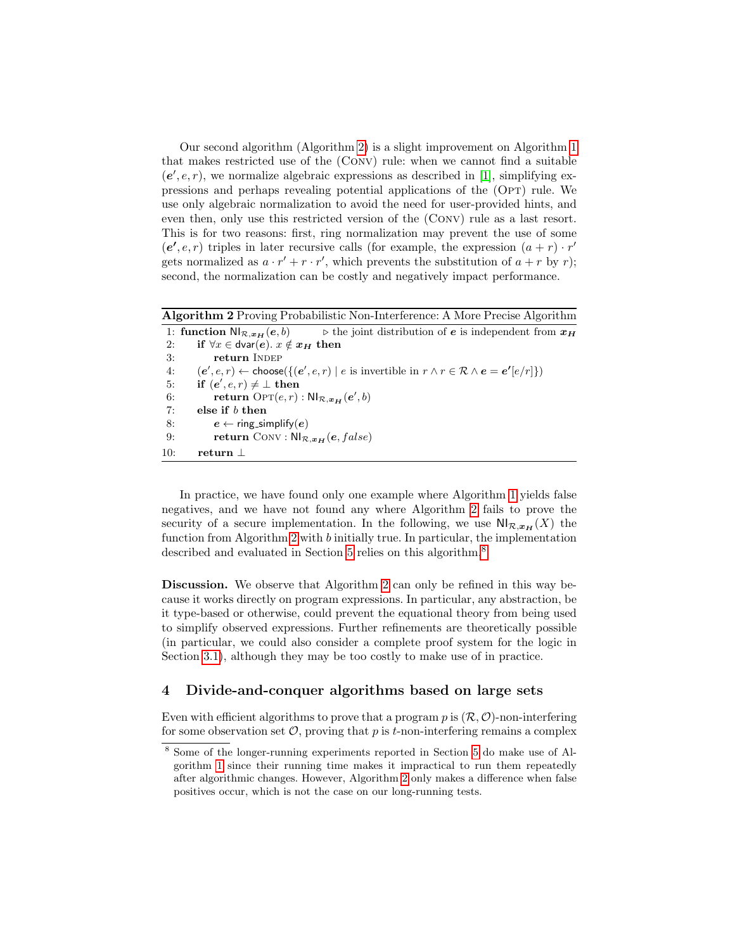Our second algorithm (Algorithm [2\)](#page-14-1) is a slight improvement on Algorithm [1](#page-13-0) that makes restricted use of the (Conv) rule: when we cannot find a suitable  $(e', e, r)$ , we normalize algebraic expressions as described in [\[1\]](#page-24-4), simplifying expressions and perhaps revealing potential applications of the (OPT) rule. We use only algebraic normalization to avoid the need for user-provided hints, and even then, only use this restricted version of the (Conv) rule as a last resort. This is for two reasons: first, ring normalization may prevent the use of some  $(e', e, r)$  triples in later recursive calls (for example, the expression  $(a + r) \cdot r'$ gets normalized as  $a \cdot r' + r \cdot r'$ , which prevents the substitution of  $a + r$  by r); second, the normalization can be costly and negatively impact performance.

|  |  |  | Algorithm 2 Proving Probabilistic Non-Interference: A More Precise Algorithm |  |  |  |
|--|--|--|------------------------------------------------------------------------------|--|--|--|
|  |  |  |                                                                              |  |  |  |

<span id="page-14-1"></span>1: **function**  $\mathbb{N}_{\mathcal{R},x_H}(e, b)$  b the joint distribution of e is independent from  $x_H$ <br>2: **if**  $\forall x \in \text{dvar}(e)$ .  $x \notin x_H$  **then** if ∀x ∈ dvar(e).  $x \notin x_H$  then 3: return INDEP 4:  $(e', e, r) \leftarrow \text{choose}(\{e', e, r) \mid e \text{ is invertible in } r \land r \in \mathcal{R} \land e = e' [e/r] \})$ 5: if  $(e', e, r) \neq \bot$  then 6: return  $\text{OPT}(e, r)$ : N $\mathsf{N}_{\mathcal{R},\bm{x}_{\bm{H}}}(\bm{e}',b)$ 7: else if  $b$  then 8:  $e \leftarrow \text{ring\_simplify}(e)$ 9: return CONV :  $Nl_{\mathcal{R},x_H}(e, false)$ 10: return ⊥

In practice, we have found only one example where Algorithm [1](#page-13-0) yields false negatives, and we have not found any where Algorithm [2](#page-14-1) fails to prove the security of a secure implementation. In the following, we use  $N|_{\mathcal{R},x_H}(X)$  the function from Algorithm [2](#page-14-1) with b initially true. In particular, the implementation described and evaluated in Section [5](#page-19-0) relies on this algorithm.<sup>[8](#page-14-2)</sup>

Discussion. We observe that Algorithm [2](#page-14-1) can only be refined in this way because it works directly on program expressions. In particular, any abstraction, be it type-based or otherwise, could prevent the equational theory from being used to simplify observed expressions. Further refinements are theoretically possible (in particular, we could also consider a complete proof system for the logic in Section [3.1\)](#page-11-1), although they may be too costly to make use of in practice.

## <span id="page-14-0"></span>4 Divide-and-conquer algorithms based on large sets

Even with efficient algorithms to prove that a program  $p$  is  $(\mathcal{R}, \mathcal{O})$ -non-interfering for some observation set  $\mathcal{O}$ , proving that p is t-non-interfering remains a complex

<span id="page-14-2"></span><sup>8</sup> Some of the longer-running experiments reported in Section [5](#page-19-0) do make use of Algorithm [1](#page-13-0) since their running time makes it impractical to run them repeatedly after algorithmic changes. However, Algorithm [2](#page-14-1) only makes a difference when false positives occur, which is not the case on our long-running tests.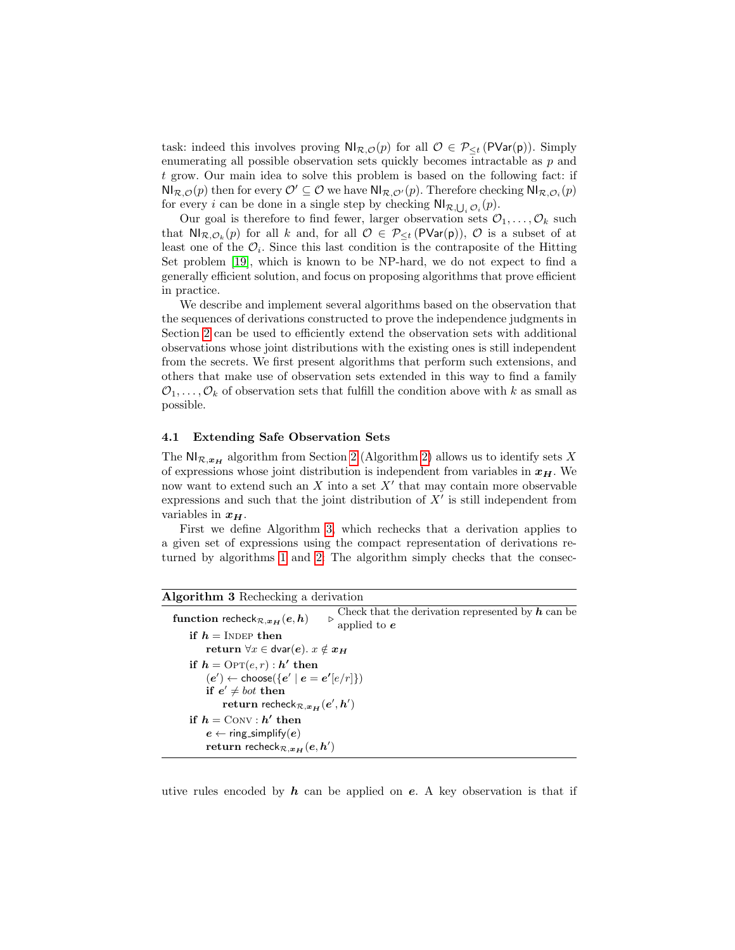task: indeed this involves proving  $\mathsf{NI}_{\mathcal{R},\mathcal{O}}(p)$  for all  $\mathcal{O} \in \mathcal{P}_{\leq t}(\mathsf{PVar}(p))$ . Simply enumerating all possible observation sets quickly becomes intractable as p and t grow. Our main idea to solve this problem is based on the following fact: if  $\mathsf{NI}_{\mathcal{R},\mathcal{O}}(p)$  then for every  $\mathcal{O}' \subseteq \mathcal{O}$  we have  $\mathsf{NI}_{\mathcal{R},\mathcal{O}'}(p)$ . Therefore checking  $\mathsf{NI}_{\mathcal{R},\mathcal{O}_i}(p)$ for every *i* can be done in a single step by checking  $\mathsf{NI}_{\mathcal{R},\bigcup_i \mathcal{O}_i}(p)$ .

Our goal is therefore to find fewer, larger observation sets  $\mathcal{O}_1, \ldots, \mathcal{O}_k$  such that  $\text{NI}_{\mathcal{R},\mathcal{O}_k}(p)$  for all k and, for all  $\mathcal{O} \in \mathcal{P}_{\leq t}(\text{PVar}(p)),$   $\mathcal{O}$  is a subset of at least one of the  $\mathcal{O}_i$ . Since this last condition is the contraposite of the Hitting Set problem [\[19\]](#page-25-15), which is known to be NP-hard, we do not expect to find a generally efficient solution, and focus on proposing algorithms that prove efficient in practice.

We describe and implement several algorithms based on the observation that the sequences of derivations constructed to prove the independence judgments in Section [2](#page-3-0) can be used to efficiently extend the observation sets with additional observations whose joint distributions with the existing ones is still independent from the secrets. We first present algorithms that perform such extensions, and others that make use of observation sets extended in this way to find a family  $\mathcal{O}_1, \ldots, \mathcal{O}_k$  of observation sets that fulfill the condition above with k as small as possible.

### 4.1 Extending Safe Observation Sets

The  $\mathsf{NI}_{\mathcal{R},x_H}$  algorithm from Section [2](#page-3-0) (Algorithm [2\)](#page-14-1) allows us to identify sets X of expressions whose joint distribution is independent from variables in  $x_H$ . We now want to extend such an X into a set  $X'$  that may contain more observable expressions and such that the joint distribution of  $X'$  is still independent from variables in  $x_H$ .

First we define Algorithm [3,](#page-15-0) which rechecks that a derivation applies to a given set of expressions using the compact representation of derivations returned by algorithms [1](#page-13-0) and [2:](#page-14-1) The algorithm simply checks that the consec-

<span id="page-15-0"></span>

| <b>Algorithm 3</b> Rechecking a derivation                                                  |                                                                                           |
|---------------------------------------------------------------------------------------------|-------------------------------------------------------------------------------------------|
| function recheck $_{\mathcal{R},x_H}(e,h)$                                                  | Check that the derivation represented by $h$ can be<br>$\triangleright$<br>applied to $e$ |
| if $h =$ INDEP then                                                                         |                                                                                           |
| return $\forall x \in \text{dvar}(e)$ . $x \notin x_H$                                      |                                                                                           |
| if $h = \text{OPT}(e, r) : h'$ then                                                         |                                                                                           |
| $(e') \leftarrow \text{choose} \{e' \mid e = e'[e/r]\})$                                    |                                                                                           |
| if $e' \neq bot$ then                                                                       |                                                                                           |
| return recheck $\mathcal{R}_{\mathcal{R},\mathbf{x}_{\mathbf{H}}}(\mathbf{e}',\mathbf{h}')$ |                                                                                           |
| if $h = \text{Conv}: h'$ then                                                               |                                                                                           |
| $e \leftarrow$ ring_simplify(e)                                                             |                                                                                           |
| return recheck $\pi_{\mathcal{R},\bm{x}_{\bm{H}}}(e,\bm{h}')$                               |                                                                                           |

utive rules encoded by  $h$  can be applied on  $e$ . A key observation is that if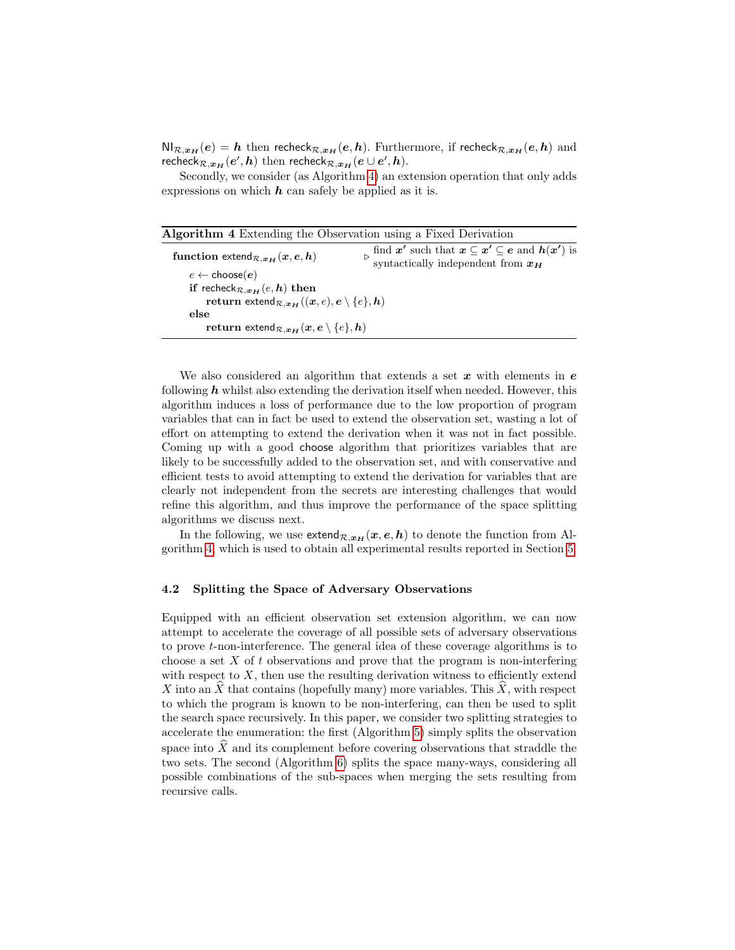$\mathsf{NI}_{\mathcal{R},x_H}(e) = h$  then recheck $_{\mathcal{R},x_H}(e, h)$ . Furthermore, if recheck $_{\mathcal{R},x_H}(e, h)$  and recheck $_{\mathcal{R},\boldsymbol{x}_{H}}(e',\boldsymbol{h})$  then recheck $_{\mathcal{R},\boldsymbol{x}_{H}}(e\cup e',\boldsymbol{h}).$ 

Secondly, we consider (as Algorithm [4\)](#page-16-0) an extension operation that only adds expressions on which  $h$  can safely be applied as it is.

<span id="page-16-0"></span>

| <b>Algorithm 4</b> Extending the Observation using a Fixed Derivation                             |                                                                                                         |  |  |  |  |
|---------------------------------------------------------------------------------------------------|---------------------------------------------------------------------------------------------------------|--|--|--|--|
| function extend $_{\mathcal{R},x_H}(x,e,h)$                                                       | find $x'$ such that $x \subseteq x' \subseteq e$ and $h(x')$ is<br>syntactically independent from $x_H$ |  |  |  |  |
| $e \leftarrow \text{choose}(e)$                                                                   |                                                                                                         |  |  |  |  |
| if recheck $_{\mathcal{R},\mathbf{x}_{H}}(e,\mathbf{h})$ then                                     |                                                                                                         |  |  |  |  |
| return extend $_{\mathcal{R},\mathbf{x}_{H}}((\mathbf{x},e),\mathbf{e}\setminus\{e\},\mathbf{h})$ |                                                                                                         |  |  |  |  |
| else                                                                                              |                                                                                                         |  |  |  |  |
| return extend $_{\mathcal{R},\mathbf{x}_{H}}(\mathbf{x},\mathbf{e}\setminus\{e\},\mathbf{h})$     |                                                                                                         |  |  |  |  |

We also considered an algorithm that extends a set  $x$  with elements in  $e$ following  $h$  whilst also extending the derivation itself when needed. However, this algorithm induces a loss of performance due to the low proportion of program variables that can in fact be used to extend the observation set, wasting a lot of effort on attempting to extend the derivation when it was not in fact possible. Coming up with a good choose algorithm that prioritizes variables that are likely to be successfully added to the observation set, and with conservative and efficient tests to avoid attempting to extend the derivation for variables that are clearly not independent from the secrets are interesting challenges that would refine this algorithm, and thus improve the performance of the space splitting algorithms we discuss next.

In the following, we use  $\mathsf{extend}_{\mathcal{R},x_H}(x,e,h)$  to denote the function from Algorithm [4,](#page-16-0) which is used to obtain all experimental results reported in Section [5.](#page-19-0)

### 4.2 Splitting the Space of Adversary Observations

Equipped with an efficient observation set extension algorithm, we can now attempt to accelerate the coverage of all possible sets of adversary observations to prove t-non-interference. The general idea of these coverage algorithms is to choose a set  $X$  of t observations and prove that the program is non-interfering with respect to  $X$ , then use the resulting derivation witness to efficiently extend X into an  $\hat{X}$  that contains (hopefully many) more variables. This  $\hat{X}$ , with respect to which the program is known to be non-interfering, can then be used to split the search space recursively. In this paper, we consider two splitting strategies to accelerate the enumeration: the first (Algorithm [5\)](#page-17-0) simply splits the observation space into  $\hat{X}$  and its complement before covering observations that straddle the two sets. The second (Algorithm [6\)](#page-18-0) splits the space many-ways, considering all possible combinations of the sub-spaces when merging the sets resulting from recursive calls.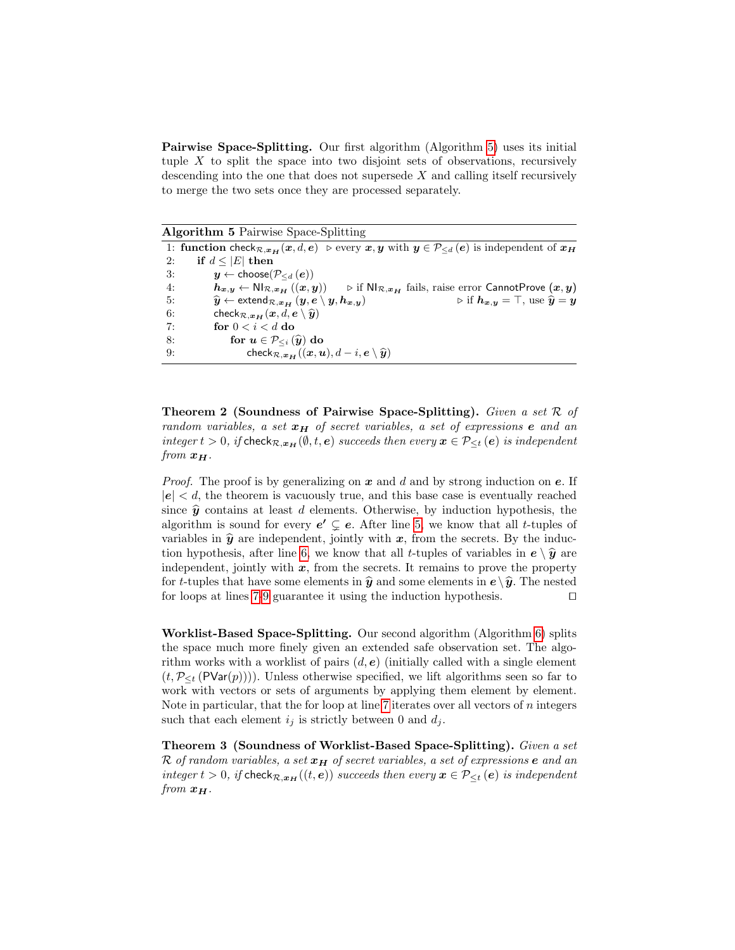**Pairwise Space-Splitting.** Our first algorithm (Algorithm [5\)](#page-17-0) uses its initial tuple  $X$  to split the space into two disjoint sets of observations, recursively descending into the one that does not supersede X and calling itself recursively to merge the two sets once they are processed separately.

Algorithm 5 Pairwise Space-Splitting

<span id="page-17-0"></span>1: function check $\pi_{x,H}(x, d, e)$   $\triangleright$  every  $x, y$  with  $y \in \mathcal{P}_{\leq d}(e)$  is independent of  $x_H$ 2: if  $d \leq |E|$  then 3:  $y \leftarrow \textsf{choose}(\mathcal{P}_{\le d}(e))$ 4:  $h_{x,y} \leftarrow \mathsf{NI}_{\mathcal{R},x_H}((x,y)) \Rightarrow \text{if } \mathsf{NI}_{\mathcal{R},x_H} \text{ fails, raise error } \mathsf{CannotProve } (x,y)$ 5:  $\hat{y} \leftarrow \text{extend}_{\mathcal{R},x_{H}} (y, e \setminus y, h_{x,y})$   $\triangleright$  if  $h_{x,y} = \top$ , use  $\hat{y} = y$  <br>6: check<sub>R,*x*,*x*</sub>,*(x, d, e*  $\setminus \hat{y}$ ) 6: check  $\mathcal{R}, \mathcal{X}_H$   $(x, d, e \setminus \hat{y})$ <br>7: for  $0 < i < d$  do for  $0 < i < d$  do 8: for  $u \in \mathcal{P}_{\leq i}(\widehat{y})$  do<br>9: check  $\mathcal{R}_{\leq x}$   $u(x, u)$ check $\mathcal{R},\mathcal{X}_{H}$   $((\boldsymbol{x},\boldsymbol{u}), d - i,\boldsymbol{e} \setminus \widehat{\boldsymbol{y}})$ 

<span id="page-17-1"></span>Theorem 2 (Soundness of Pairwise Space-Splitting). Given a set  $\mathcal R$  of random variables, a set  $x_H$  of secret variables, a set of expressions e and an integer  $t > 0$ , if check $_{\mathcal{R},\mathbf{x}_H}(\emptyset,t,e)$  succeeds then every  $\mathbf{x} \in \mathcal{P}_{\leq t}(e)$  is independent from  $x_H$ .

*Proof.* The proof is by generalizing on  $x$  and  $d$  and by strong induction on  $e$ . If  $|e| < d$ , the theorem is vacuously true, and this base case is eventually reached since  $\hat{y}$  contains at least d elements. Otherwise, by induction hypothesis, the algorithm is sound for every  $e' \subsetneq e$ . After line [5,](#page-17-0) we know that all *t*-tuples of variables in  $\hat{y}$  are independent, jointly with x, from the secrets. By the induc-tion hypothesis, after line [6,](#page-17-0) we know that all t-tuples of variables in  $e \setminus \hat{y}$  are independent, jointly with  $x$ , from the secrets. It remains to prove the property for t-tuples that have some elements in  $\hat{y}$  and some elements in  $e\backslash \hat{y}$ . The nested for loops at lines 7-9 guarantee it using the induction hypothesis. for loops at lines [7-9](#page-17-0) guarantee it using the induction hypothesis.

Worklist-Based Space-Splitting. Our second algorithm (Algorithm [6\)](#page-18-0) splits the space much more finely given an extended safe observation set. The algorithm works with a worklist of pairs  $(d, e)$  (initially called with a single element  $(t, \mathcal{P}_{\leq t}(\text{PVar}(p))))$ . Unless otherwise specified, we lift algorithms seen so far to work with vectors or sets of arguments by applying them element by element. Note in particular, that the for loop at line  $7$  iterates over all vectors of  $n$  integers such that each element  $i_j$  is strictly between 0 and  $d_j$ .

Theorem 3 (Soundness of Worklist-Based Space-Splitting). Given a set R of random variables, a set  $x_H$  of secret variables, a set of expressions e and an integer  $t > 0$ , if check $_{\mathcal{R},\mathbf{x}_H}((t, e))$  succeeds then every  $\mathbf{x} \in \mathcal{P}_{\leq t}(e)$  is independent from  $x_H$ .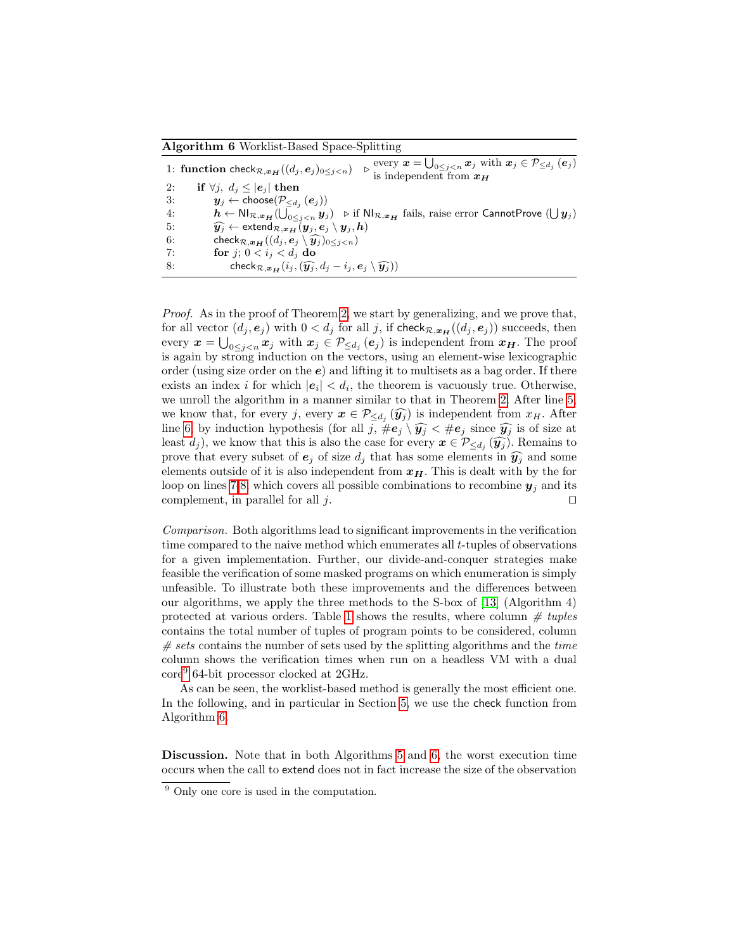Algorithm 6 Worklist-Based Space-Splitting

<span id="page-18-0"></span>

|    | every $\boldsymbol{x} = \bigcup_{0 \leq j < n} \boldsymbol{x}_j$ with $\boldsymbol{x}_j \in \mathcal{P}_{\leq d_j}(e_j)$<br>1: function check $\mathcal{R}_{\mathcal{R},\mathbf{x}_{\mathbf{H}}}((d_j,\mathbf{e}_j)_{0\leq j\leq n})$<br>$\triangleright$<br>is independent from $x_H$ |
|----|----------------------------------------------------------------------------------------------------------------------------------------------------------------------------------------------------------------------------------------------------------------------------------------|
| 2: | if $\forall i, d_i \leq  e_i $ then                                                                                                                                                                                                                                                    |
| 3: | $\boldsymbol{y}_j \leftarrow \textsf{choose}(\mathcal{P}_{\leq d_j}\left(\boldsymbol{e}_j\right))$                                                                                                                                                                                     |
| 4: | $h \leftarrow \mathsf{NI}_{\mathcal{R},x_H}(\bigcup_{0 \leq j \leq n} y_j) \Rightarrow \text{if } \mathsf{NI}_{\mathcal{R},x_H} \text{ fails, raise error } \mathsf{Cannot Prove } (\bigcup y_j)$                                                                                      |
| 5: | $\widehat{\boldsymbol{y_j}} \leftarrow \textsf{extend}_{\mathcal{R}, \boldsymbol{x_H}}(\boldsymbol{y_j}, \boldsymbol{e}_j \setminus \boldsymbol{y_j}, \boldsymbol{h})$                                                                                                                 |
| 6: | check $\mathcal{R}, \mathcal{X}_H$ $((d_j, e_j \setminus \widehat{y_j})_{0 \leq j \leq n})$                                                                                                                                                                                            |
| 7: | for $i: 0 < i_j < d_j$ do                                                                                                                                                                                                                                                              |
| 8: | check $\mathcal{R}_{\mathcal{R},\bm{x}_{H}}(i_i, (\widehat{\bm{y}_i}, d_i - i_j, \bm{e}_i \setminus \widehat{\bm{y}_i}))$                                                                                                                                                              |

Proof. As in the proof of Theorem [2,](#page-17-1) we start by generalizing, and we prove that, for all vector  $(d_j, e_j)$  with  $0 < d_j$  for all j, if check $\mathcal{R}, \mathcal{X}_H((d_j, e_j))$  succeeds, then every  $\bm{x} = \bigcup_{0 \leq j < n} \bm{x}_j$  with  $\bm{x}_j \in \mathcal{P}_{\leq d_j}(e_j)$  is independent from  $\bm{x_H}$ . The proof is again by strong induction on the vectors, using an element-wise lexicographic order (using size order on the  $e$ ) and lifting it to multisets as a bag order. If there exists an index *i* for which  $|e_i| < d_i$ , the theorem is vacuously true. Otherwise, we unroll the algorithm in a manner similar to that in Theorem [2.](#page-17-1) After line [5,](#page-18-0) we know that, for every j, every  $x \in \mathcal{P}_{\leq d_j}(\widehat{y}_j)$  is independent from  $x_H$ . After<br>line 6, by induction hypothesis (for all  $i \neq \emptyset$ ).  $\widehat{x}_i \leq \#g$  since  $\widehat{y}_i$  is of size at line [6,](#page-18-0) by induction hypothesis (for all  $j, \#e_j \setminus \widehat{y_j} < \#e_j$  since  $\widehat{y_j}$  is of size at least  $d_j$ ), we know that this is also the case for every  $\mathbf{x} \in \mathcal{P}_{\leq d_j}(\widehat{y_j})$ . Remains to prove that overy subset of  $g_j$  of size  $d_j$ , that has some elements in  $\widehat{y_j}$  and some prove that every subset of  $e_j$  of size  $d_j$  that has some elements in  $\widehat{y_j}$  and some elements outside of it is also independent from  $x_H$ . This is dealt with by the for loop on lines [7-8,](#page-18-0) which covers all possible combinations to recombine  $y_i$  and its complement, in parallel for all  $j$ .

Comparison. Both algorithms lead to significant improvements in the verification time compared to the naive method which enumerates all t-tuples of observations for a given implementation. Further, our divide-and-conquer strategies make feasible the verification of some masked programs on which enumeration is simply unfeasible. To illustrate both these improvements and the differences between our algorithms, we apply the three methods to the S-box of [\[13\]](#page-25-3) (Algorithm 4) protected at various orders. Table [1](#page-19-1) shows the results, where column  $# tuples$ contains the total number of tuples of program points to be considered, column  $# sets$  contains the number of sets used by the splitting algorithms and the time column shows the verification times when run on a headless VM with a dual core[9](#page-18-1) 64-bit processor clocked at 2GHz.

As can be seen, the worklist-based method is generally the most efficient one. In the following, and in particular in Section [5,](#page-19-0) we use the check function from Algorithm [6.](#page-18-0)

Discussion. Note that in both Algorithms [5](#page-17-0) and [6,](#page-18-0) the worst execution time occurs when the call to extend does not in fact increase the size of the observation

<span id="page-18-1"></span><sup>9</sup> Only one core is used in the computation.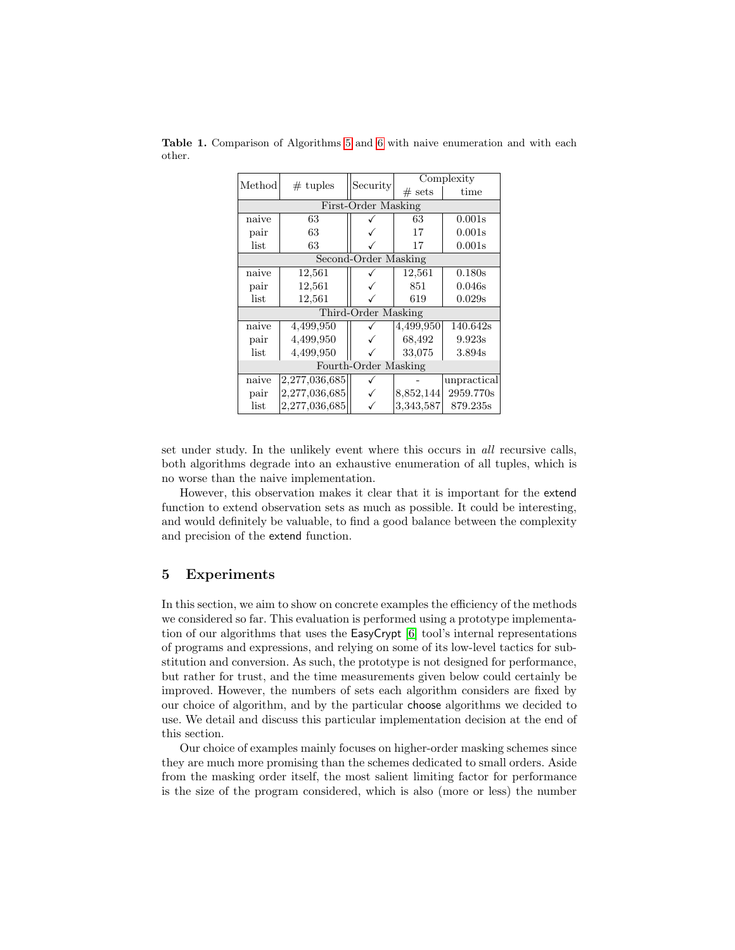| Method        | $#$ tuples           | Security            | Complexity |             |  |  |  |
|---------------|----------------------|---------------------|------------|-------------|--|--|--|
|               |                      |                     | $#$ sets   | time        |  |  |  |
|               |                      | First-Order Masking |            |             |  |  |  |
| naive         | 63                   |                     | 63         | 0.001s      |  |  |  |
| pair          | 63                   |                     | 17         | 0.001s      |  |  |  |
| $_{\rm list}$ | 63                   |                     | 17         | 0.001s      |  |  |  |
|               | Second-Order Masking |                     |            |             |  |  |  |
| naive         | 12,561               |                     | 12,561     | 0.180s      |  |  |  |
| pair          | 12,561               |                     | 851        | 0.046s      |  |  |  |
| $_{\rm list}$ | 12,561               |                     | 619        | 0.029s      |  |  |  |
|               |                      | Third-Order Masking |            |             |  |  |  |
| naive         | 4,499,950            |                     | 4,499,950  | 140.642s    |  |  |  |
| pair          | 4,499,950            |                     | 68,492     | 9.923s      |  |  |  |
| $_{\rm list}$ | 4,499,950            |                     | 33,075     | 3.894s      |  |  |  |
|               | Fourth-Order Masking |                     |            |             |  |  |  |
| naive         | 2,277,036,685        |                     |            | unpractical |  |  |  |
| pair          | 2,277,036,685        |                     | 8,852,144  | 2959.770s   |  |  |  |
| list          | 2,277,036,685        |                     | 3,343,587  | 879.235s    |  |  |  |

<span id="page-19-1"></span>Table 1. Comparison of Algorithms [5](#page-17-0) and [6](#page-18-0) with naive enumeration and with each other.

set under study. In the unlikely event where this occurs in all recursive calls, both algorithms degrade into an exhaustive enumeration of all tuples, which is no worse than the naive implementation.

However, this observation makes it clear that it is important for the extend function to extend observation sets as much as possible. It could be interesting, and would definitely be valuable, to find a good balance between the complexity and precision of the extend function.

## <span id="page-19-0"></span>5 Experiments

In this section, we aim to show on concrete examples the efficiency of the methods we considered so far. This evaluation is performed using a prototype implementation of our algorithms that uses the EasyCrypt [\[6\]](#page-24-1) tool's internal representations of programs and expressions, and relying on some of its low-level tactics for substitution and conversion. As such, the prototype is not designed for performance, but rather for trust, and the time measurements given below could certainly be improved. However, the numbers of sets each algorithm considers are fixed by our choice of algorithm, and by the particular choose algorithms we decided to use. We detail and discuss this particular implementation decision at the end of this section.

Our choice of examples mainly focuses on higher-order masking schemes since they are much more promising than the schemes dedicated to small orders. Aside from the masking order itself, the most salient limiting factor for performance is the size of the program considered, which is also (more or less) the number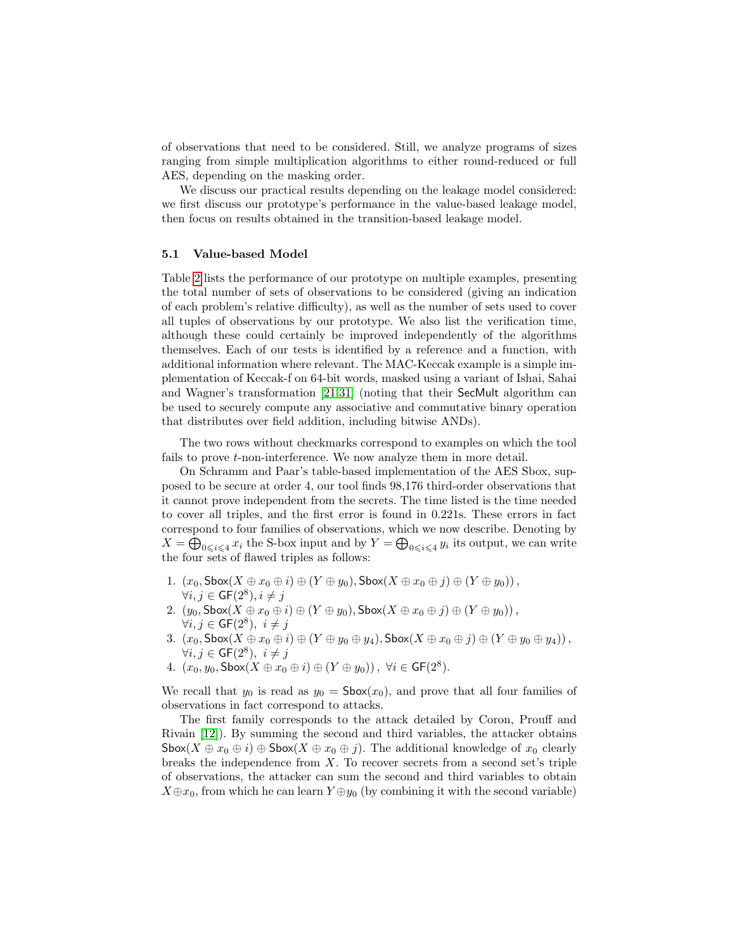of observations that need to be considered. Still, we analyze programs of sizes ranging from simple multiplication algorithms to either round-reduced or full AES, depending on the masking order.

We discuss our practical results depending on the leakage model considered: we first discuss our prototype's performance in the value-based leakage model, then focus on results obtained in the transition-based leakage model.

#### 5.1 Value-based Model

Table [2](#page-21-0) lists the performance of our prototype on multiple examples, presenting the total number of sets of observations to be considered (giving an indication of each problem's relative difficulty), as well as the number of sets used to cover all tuples of observations by our prototype. We also list the verification time, although these could certainly be improved independently of the algorithms themselves. Each of our tests is identified by a reference and a function, with additional information where relevant. The MAC-Keccak example is a simple implementation of Keccak-f on 64-bit words, masked using a variant of Ishai, Sahai and Wagner's transformation [\[21,](#page-25-6)[31\]](#page-26-5) (noting that their SecMult algorithm can be used to securely compute any associative and commutative binary operation that distributes over field addition, including bitwise ANDs).

The two rows without checkmarks correspond to examples on which the tool fails to prove t-non-interference. We now analyze them in more detail.

On Schramm and Paar's table-based implementation of the AES Sbox, supposed to be secure at order 4, our tool finds 98,176 third-order observations that it cannot prove independent from the secrets. The time listed is the time needed to cover all triples, and the first error is found in 0.221s. These errors in fact correspond to four families of observations, which we now describe. Denoting by  $X = \bigoplus_{0 \leq i \leq 4} x_i$  the S-box input and by  $Y = \bigoplus_{0 \leq i \leq 4} y_i$  its output, we can write the four sets of flawed triples as follows:

- 1.  $(x_0, \text{Sbox}(X \oplus x_0 \oplus i) \oplus (Y \oplus y_0), \text{Sbox}(X \oplus x_0 \oplus i) \oplus (Y \oplus y_0)),$  $\forall i, j \in {\sf GF}(2^8), i \neq j$
- 2.  $(y_0, \text{Sbox}(X \oplus x_0 \oplus i) \oplus (Y \oplus y_0), \text{Sbox}(X \oplus x_0 \oplus j) \oplus (Y \oplus y_0)),$  $\forall i, j \in {\sf GF}(2^8), i \neq j$
- 3.  $(x_0, \text{Sbox}(X \oplus x_0 \oplus i) \oplus (Y \oplus y_0 \oplus y_4), \text{Sbox}(X \oplus x_0 \oplus j) \oplus (Y \oplus y_0 \oplus y_4)),$  $\forall i, j \in {\sf GF}(2^8), i \neq j$
- 4.  $(x_0, y_0, \text{Sbox}(X \oplus x_0 \oplus i) \oplus (Y \oplus y_0)), \ \forall i \in \textsf{GF}(2^8).$

We recall that  $y_0$  is read as  $y_0 =$  Sbox $(x_0)$ , and prove that all four families of observations in fact correspond to attacks.

The first family corresponds to the attack detailed by Coron, Prouff and Rivain [\[12\]](#page-25-2)). By summing the second and third variables, the attacker obtains Sbox( $X \oplus x_0 \oplus i$ )  $\oplus$  Sbox( $X \oplus x_0 \oplus j$ ). The additional knowledge of  $x_0$  clearly breaks the independence from  $X$ . To recover secrets from a second set's triple of observations, the attacker can sum the second and third variables to obtain  $X \oplus x_0$ , from which he can learn  $Y \oplus y_0$  (by combining it with the second variable)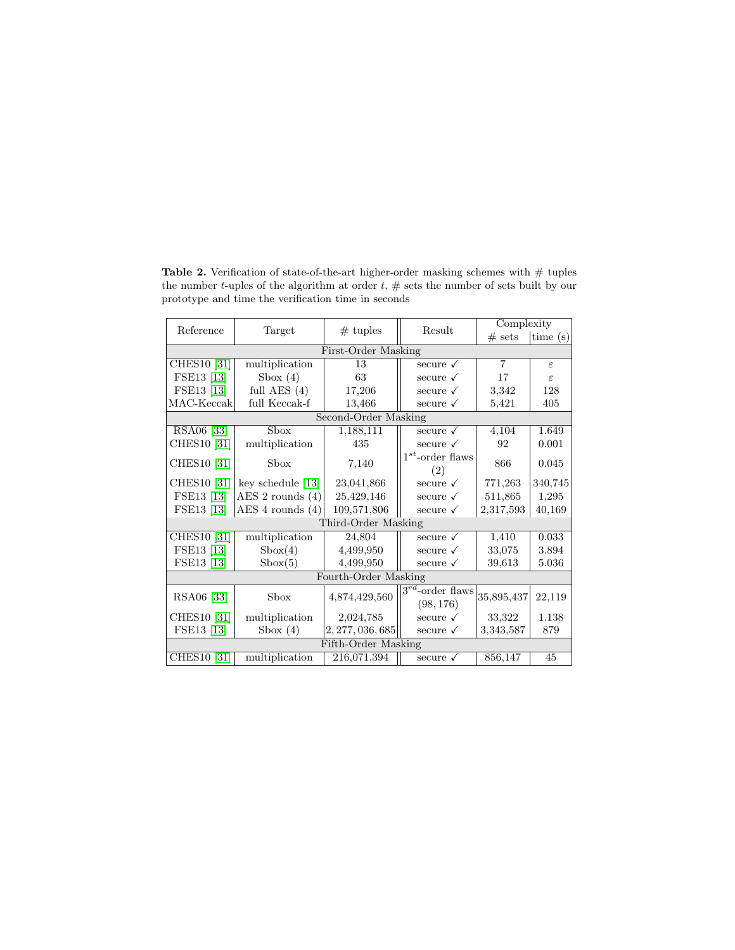<span id="page-21-0"></span>Table 2. Verification of state-of-the-art higher-order masking schemes with  $\#$  tuples the number t-uples of the algorithm at order  $t, \#$  sets the number of sets built by our prototype and time the verification time in seconds

| Reference                        |                                  | $#$ tuples           | Result                             | Complexity     |                  |  |  |
|----------------------------------|----------------------------------|----------------------|------------------------------------|----------------|------------------|--|--|
|                                  | Target                           |                      |                                    | # sets         | $\vert$ time (s) |  |  |
|                                  |                                  | First-Order Masking  |                                    |                |                  |  |  |
| CHES10 [31]                      | multiplication                   | 13                   | secure $\checkmark$                | $\overline{7}$ | $\varepsilon$    |  |  |
| FSE13 [13]                       | Show (4)                         | 63                   | secure $\checkmark$                | 17             | $\varepsilon$    |  |  |
| FSE13 [13]                       | full AES $(4)$                   | 17,206               | secure $\checkmark$                | 3,342          | 128              |  |  |
| MAC-Keccak                       | full Keccak-f                    | 13,466               | secure $\checkmark$                | 5,421          | 405              |  |  |
|                                  |                                  | Second-Order Masking |                                    |                |                  |  |  |
| RSA06 [33]                       | <b>Sbox</b>                      | 1,188,111            | secure $\checkmark$                | 4,104          | 1.649            |  |  |
| <b>CHES10 [31]</b>               | multiplication                   | 435                  | secure $\checkmark$                | 92             | 0.001            |  |  |
| CHES10 [31]<br><b>Sbox</b>       |                                  | 7,140                | $1^{st}$ -order flaws<br>(2)       | 866            | 0.045            |  |  |
| CHES10 [31]                      | key schedule $[13]$              | 23,041,866           | secure $\checkmark$                | 771,263        | 340,745          |  |  |
| FSE13 [13]                       | AES 2 rounds $(4)$<br>25,429,146 |                      | secure $\checkmark$                | 511,865        | 1,295            |  |  |
| FSE13 [13]<br>AES 4 rounds $(4)$ |                                  | 109,571,806          | secure $\checkmark$                | 2,317,593      | 40,169           |  |  |
|                                  |                                  | Third-Order Masking  |                                    |                |                  |  |  |
| CHES10 [31]                      | multiplication                   | 24,804               | secure $\checkmark$                | 1,410          | 0.033            |  |  |
| FSE13 [13]                       | $\text{Sbox}(4)$                 | 4,499,950            | secure $\checkmark$                | 33,075         | 3.894            |  |  |
| FSE13 [13]                       | $\text{Sbox}(5)$                 | 4,499,950            | secure $\checkmark$                | 39,613         | 5.036            |  |  |
|                                  | Fourth-Order Masking             |                      |                                    |                |                  |  |  |
| RSA06 [33]                       | <b>Sbox</b>                      | 4,874,429,560        | $3^{rd}$ -order flaws<br>(98, 176) | 35,895,437     | 22,119           |  |  |
| CHES10 [31]                      | multiplication                   | 2,024,785            | secure $\checkmark$                | 33,322         | 1.138            |  |  |
| FSE13 [13]<br>Show (4)           |                                  | 2, 277, 036, 685     | secure $\checkmark$                | 3,343,587      | 879              |  |  |
| Fifth-Order Masking              |                                  |                      |                                    |                |                  |  |  |
| CHES10 [31]                      | multiplication                   | 216,071,394          | secure $\checkmark$                | 856,147        | 45               |  |  |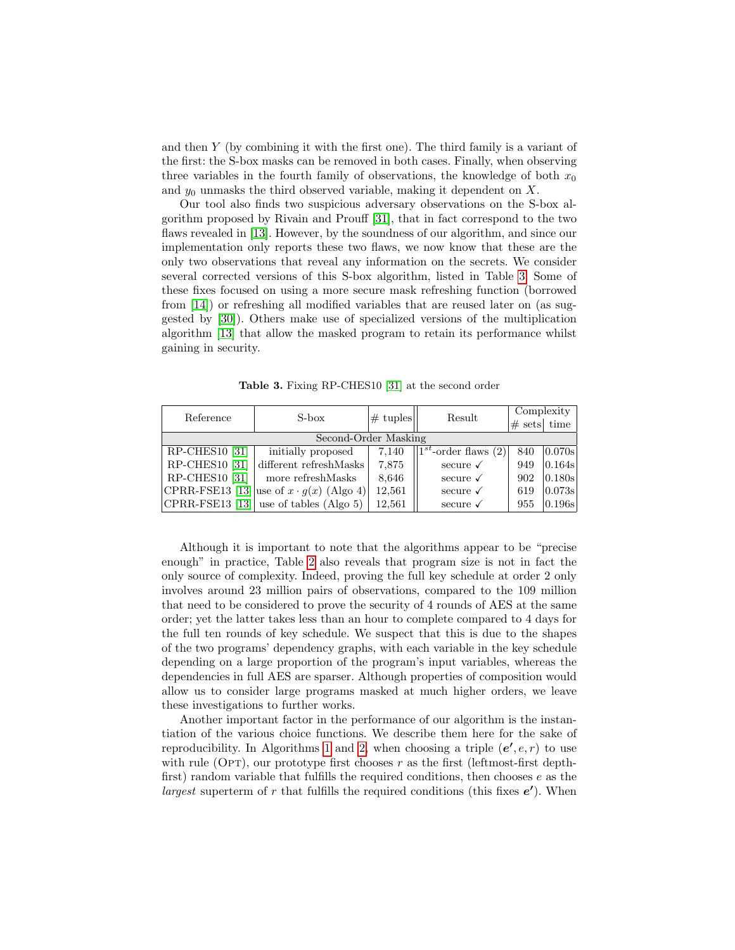and then  $Y$  (by combining it with the first one). The third family is a variant of the first: the S-box masks can be removed in both cases. Finally, when observing three variables in the fourth family of observations, the knowledge of both  $x_0$ and  $y_0$  unmasks the third observed variable, making it dependent on X.

Our tool also finds two suspicious adversary observations on the S-box algorithm proposed by Rivain and Prouff [\[31\]](#page-26-5), that in fact correspond to the two flaws revealed in [\[13\]](#page-25-3). However, by the soundness of our algorithm, and since our implementation only reports these two flaws, we now know that these are the only two observations that reveal any information on the secrets. We consider several corrected versions of this S-box algorithm, listed in Table [3.](#page-22-0) Some of these fixes focused on using a more secure mask refreshing function (borrowed from [\[14\]](#page-25-7)) or refreshing all modified variables that are reused later on (as suggested by [\[30\]](#page-26-6)). Others make use of specialized versions of the multiplication algorithm [\[13\]](#page-25-3) that allow the masked program to retain its performance whilst gaining in security.

<span id="page-22-0"></span>Reference S-box  $\#$  tuples Result Complexity  $# sets | time$ Second-Order Masking RP-CHES10 [\[31\]](#page-26-5) initially proposed  $\begin{bmatrix} 7,140 \end{bmatrix}$  $1^{st}$ -order flaws  $(2)$  840  $(0.070s)$ RP-CHES10 [\[31\]](#page-26-5) different refreshMasks  $|7,875|$  secure  $\checkmark$  949 0.164s RP-CHES10 [\[31\]](#page-26-5) more refreshMasks  $8,646$  secure  $\checkmark$  902 [0.180s CPRR-FSE13 [\[13\]](#page-25-3) use of  $x \cdot q(x)$  (Algo 4) 12,561  $\vert$  secure  $\checkmark$  619 0.073s CPRR-FSE13 [\[13\]](#page-25-3) use of tables (Algo 5) | 12,561 || secure  $\checkmark$  | 955 | 0.196s

Table 3. Fixing RP-CHES10 [\[31\]](#page-26-5) at the second order

Although it is important to note that the algorithms appear to be "precise enough" in practice, Table [2](#page-21-0) also reveals that program size is not in fact the only source of complexity. Indeed, proving the full key schedule at order 2 only involves around 23 million pairs of observations, compared to the 109 million that need to be considered to prove the security of 4 rounds of AES at the same order; yet the latter takes less than an hour to complete compared to 4 days for the full ten rounds of key schedule. We suspect that this is due to the shapes of the two programs' dependency graphs, with each variable in the key schedule depending on a large proportion of the program's input variables, whereas the dependencies in full AES are sparser. Although properties of composition would allow us to consider large programs masked at much higher orders, we leave these investigations to further works.

Another important factor in the performance of our algorithm is the instantiation of the various choice functions. We describe them here for the sake of reproducibility. In Algorithms [1](#page-13-0) and [2,](#page-14-1) when choosing a triple  $(e', e, r)$  to use with rule (OPT), our prototype first chooses  $r$  as the first (leftmost-first depthfirst) random variable that fulfills the required conditions, then chooses  $e$  as the largest superterm of r that fulfills the required conditions (this fixes  $e'$ ). When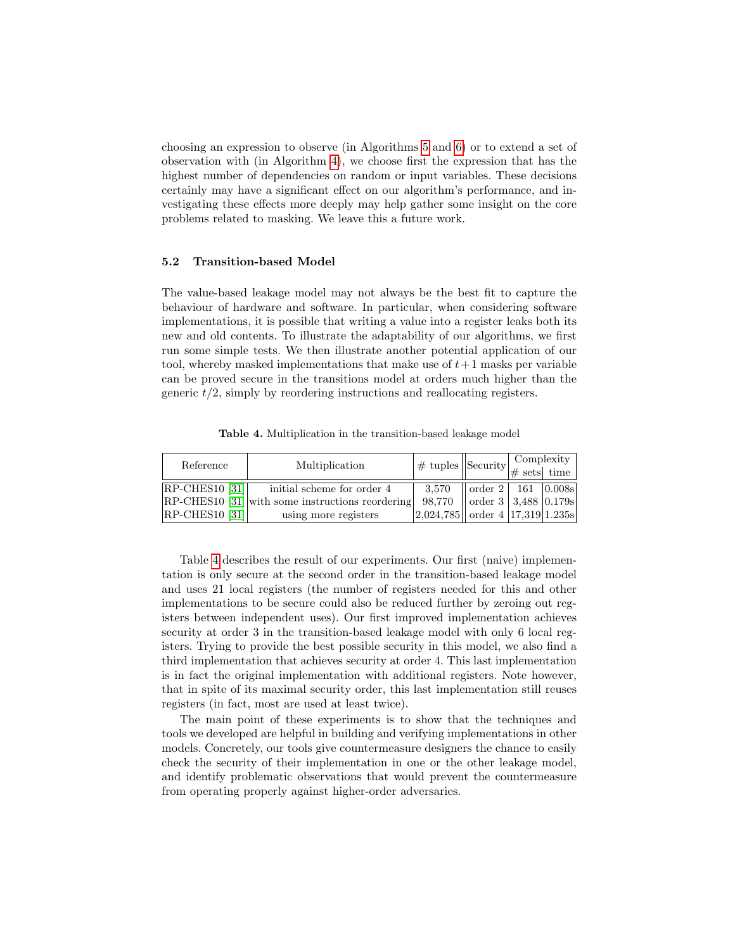choosing an expression to observe (in Algorithms [5](#page-17-0) and [6\)](#page-18-0) or to extend a set of observation with (in Algorithm [4\)](#page-16-0), we choose first the expression that has the highest number of dependencies on random or input variables. These decisions certainly may have a significant effect on our algorithm's performance, and investigating these effects more deeply may help gather some insight on the core problems related to masking. We leave this a future work.

#### 5.2 Transition-based Model

The value-based leakage model may not always be the best fit to capture the behaviour of hardware and software. In particular, when considering software implementations, it is possible that writing a value into a register leaks both its new and old contents. To illustrate the adaptability of our algorithms, we first run some simple tests. We then illustrate another potential application of our tool, whereby masked implementations that make use of  $t+1$  masks per variable can be proved secure in the transitions model at orders much higher than the generic  $t/2$ , simply by reordering instructions and reallocating registers.

Table 4. Multiplication in the transition-based leakage model

<span id="page-23-0"></span>

| Reference        | Multiplication                                   |                                         |                                                     | $\#$ tuples Security $\begin{array}{c} \begin{array}{c} \begin{array}{c} \text{Complexity} \\ \text{# sets} \end{array} \end{array} \end{array}$ |  |
|------------------|--------------------------------------------------|-----------------------------------------|-----------------------------------------------------|--------------------------------------------------------------------------------------------------------------------------------------------------|--|
|                  |                                                  |                                         |                                                     |                                                                                                                                                  |  |
| RP-CHES10 [31]   | initial scheme for order 4                       | 3,570                                   | $\vert \vert$ order 2   161 $\vert 0.008$ s $\vert$ |                                                                                                                                                  |  |
|                  | RP-CHES10 [31] with some instructions reordering | 98,770                                  | order $3$   $3,488$   $0.179$ s                     |                                                                                                                                                  |  |
| $RP-CHES10$ [31] | using more registers                             | $ 2,024,785 $ order 4   17,319   1.235s |                                                     |                                                                                                                                                  |  |

Table [4](#page-23-0) describes the result of our experiments. Our first (naive) implementation is only secure at the second order in the transition-based leakage model and uses 21 local registers (the number of registers needed for this and other implementations to be secure could also be reduced further by zeroing out registers between independent uses). Our first improved implementation achieves security at order 3 in the transition-based leakage model with only 6 local registers. Trying to provide the best possible security in this model, we also find a third implementation that achieves security at order 4. This last implementation is in fact the original implementation with additional registers. Note however, that in spite of its maximal security order, this last implementation still reuses registers (in fact, most are used at least twice).

The main point of these experiments is to show that the techniques and tools we developed are helpful in building and verifying implementations in other models. Concretely, our tools give countermeasure designers the chance to easily check the security of their implementation in one or the other leakage model, and identify problematic observations that would prevent the countermeasure from operating properly against higher-order adversaries.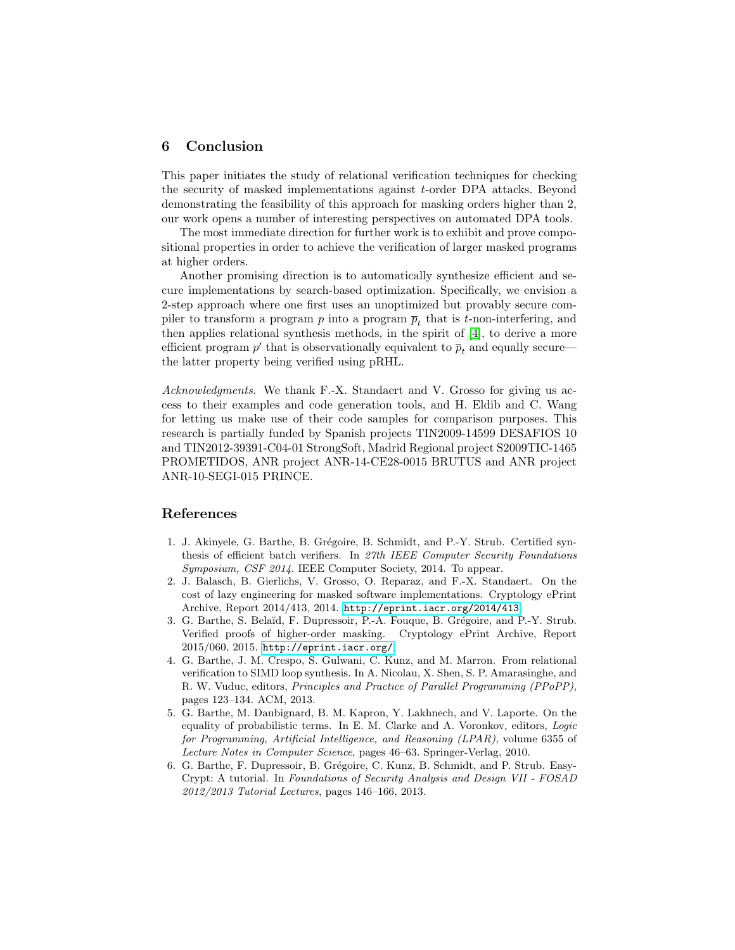## 6 Conclusion

This paper initiates the study of relational verification techniques for checking the security of masked implementations against t-order DPA attacks. Beyond demonstrating the feasibility of this approach for masking orders higher than 2, our work opens a number of interesting perspectives on automated DPA tools.

The most immediate direction for further work is to exhibit and prove compositional properties in order to achieve the verification of larger masked programs at higher orders.

Another promising direction is to automatically synthesize efficient and secure implementations by search-based optimization. Specifically, we envision a 2-step approach where one first uses an unoptimized but provably secure compiler to transform a program  $p$  into a program  $\bar{p}_t$  that is t-non-interfering, and then applies relational synthesis methods, in the spirit of [\[4\]](#page-24-5), to derive a more efficient program  $p'$  that is observationally equivalent to  $\overline{p}_t$  and equally secure the latter property being verified using pRHL.

Acknowledgments. We thank F.-X. Standaert and V. Grosso for giving us access to their examples and code generation tools, and H. Eldib and C. Wang for letting us make use of their code samples for comparison purposes. This research is partially funded by Spanish projects TIN2009-14599 DESAFIOS 10 and TIN2012-39391-C04-01 StrongSoft, Madrid Regional project S2009TIC-1465 PROMETIDOS, ANR project ANR-14-CE28-0015 BRUTUS and ANR project ANR-10-SEGI-015 PRINCE.

# References

- <span id="page-24-4"></span>1. J. Akinyele, G. Barthe, B. Grégoire, B. Schmidt, and P.-Y. Strub. Certified synthesis of efficient batch verifiers. In 27th IEEE Computer Security Foundations Symposium, CSF 2014. IEEE Computer Society, 2014. To appear.
- <span id="page-24-0"></span>2. J. Balasch, B. Gierlichs, V. Grosso, O. Reparaz, and F.-X. Standaert. On the cost of lazy engineering for masked software implementations. Cryptology ePrint Archive, Report 2014/413, 2014. <http://eprint.iacr.org/2014/413>.
- <span id="page-24-2"></span>3. G. Barthe, S. Belaïd, F. Dupressoir, P.-A. Fouque, B. Grégoire, and P.-Y. Strub. Verified proofs of higher-order masking. Cryptology ePrint Archive, Report 2015/060, 2015. <http://eprint.iacr.org/>.
- <span id="page-24-5"></span>4. G. Barthe, J. M. Crespo, S. Gulwani, C. Kunz, and M. Marron. From relational verification to SIMD loop synthesis. In A. Nicolau, X. Shen, S. P. Amarasinghe, and R. W. Vuduc, editors, Principles and Practice of Parallel Programming (PPoPP), pages 123–134. ACM, 2013.
- <span id="page-24-3"></span>5. G. Barthe, M. Daubignard, B. M. Kapron, Y. Lakhnech, and V. Laporte. On the equality of probabilistic terms. In E. M. Clarke and A. Voronkov, editors, Logic for Programming, Artificial Intelligence, and Reasoning (LPAR), volume 6355 of Lecture Notes in Computer Science, pages 46–63. Springer-Verlag, 2010.
- <span id="page-24-1"></span>6. G. Barthe, F. Dupressoir, B. Grégoire, C. Kunz, B. Schmidt, and P. Strub. Easy-Crypt: A tutorial. In Foundations of Security Analysis and Design VII - FOSAD 2012/2013 Tutorial Lectures, pages 146–166, 2013.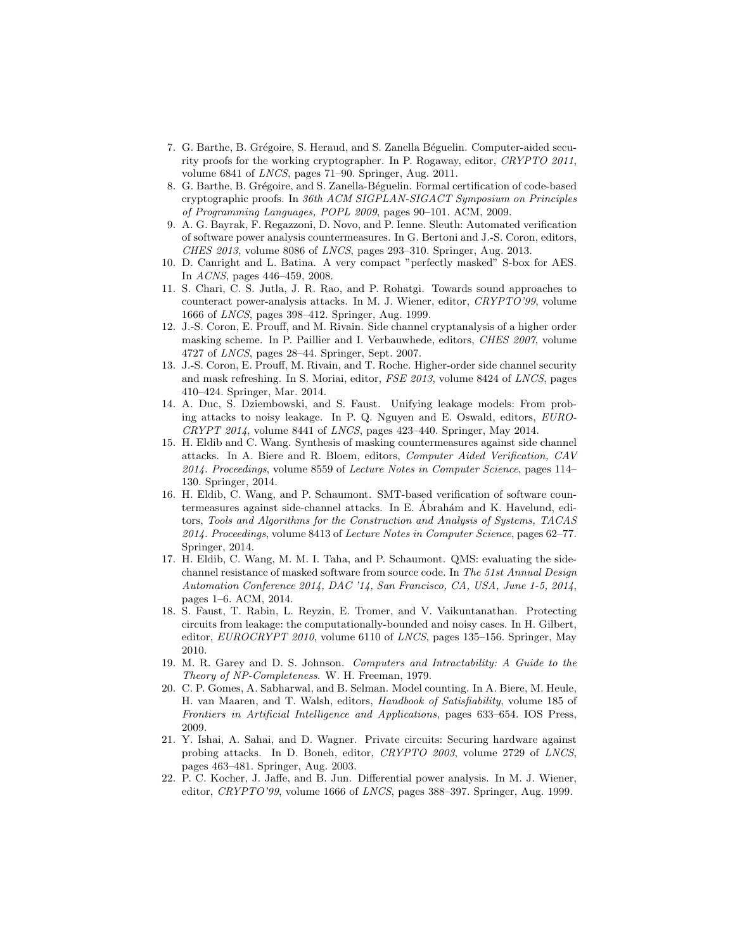- <span id="page-25-14"></span>7. G. Barthe, B. Grégoire, S. Heraud, and S. Zanella Béguelin. Computer-aided security proofs for the working cryptographer. In P. Rogaway, editor, CRYPTO 2011, volume 6841 of LNCS, pages 71–90. Springer, Aug. 2011.
- <span id="page-25-13"></span>8. G. Barthe, B. Grégoire, and S. Zanella-Béguelin. Formal certification of code-based cryptographic proofs. In 36th ACM SIGPLAN-SIGACT Symposium on Principles of Programming Languages, POPL 2009, pages 90–101. ACM, 2009.
- <span id="page-25-8"></span>9. A. G. Bayrak, F. Regazzoni, D. Novo, and P. Ienne. Sleuth: Automated verification of software power analysis countermeasures. In G. Bertoni and J.-S. Coron, editors, CHES 2013, volume 8086 of LNCS, pages 293–310. Springer, Aug. 2013.
- <span id="page-25-1"></span>10. D. Canright and L. Batina. A very compact "perfectly masked" S-box for AES. In ACNS, pages 446–459, 2008.
- <span id="page-25-4"></span>11. S. Chari, C. S. Jutla, J. R. Rao, and P. Rohatgi. Towards sound approaches to counteract power-analysis attacks. In M. J. Wiener, editor, CRYPTO'99, volume 1666 of LNCS, pages 398–412. Springer, Aug. 1999.
- <span id="page-25-2"></span>12. J.-S. Coron, E. Prouff, and M. Rivain. Side channel cryptanalysis of a higher order masking scheme. In P. Paillier and I. Verbauwhede, editors, CHES 2007, volume 4727 of LNCS, pages 28–44. Springer, Sept. 2007.
- <span id="page-25-3"></span>13. J.-S. Coron, E. Prouff, M. Rivain, and T. Roche. Higher-order side channel security and mask refreshing. In S. Moriai, editor, FSE 2013, volume 8424 of LNCS, pages 410–424. Springer, Mar. 2014.
- <span id="page-25-7"></span>14. A. Duc, S. Dziembowski, and S. Faust. Unifying leakage models: From probing attacks to noisy leakage. In P. Q. Nguyen and E. Oswald, editors, EURO- $CRYPT 2014$ , volume 8441 of *LNCS*, pages 423-440. Springer, May 2014.
- <span id="page-25-10"></span>15. H. Eldib and C. Wang. Synthesis of masking countermeasures against side channel attacks. In A. Biere and R. Bloem, editors, Computer Aided Verification, CAV 2014. Proceedings, volume 8559 of Lecture Notes in Computer Science, pages 114– 130. Springer, 2014.
- <span id="page-25-9"></span>16. H. Eldib, C. Wang, and P. Schaumont. SMT-based verification of software countermeasures against side-channel attacks. In E. Abrahám and K. Havelund, editors, Tools and Algorithms for the Construction and Analysis of Systems, TACAS 2014. Proceedings, volume 8413 of Lecture Notes in Computer Science, pages 62–77. Springer, 2014.
- <span id="page-25-11"></span>17. H. Eldib, C. Wang, M. M. I. Taha, and P. Schaumont. QMS: evaluating the sidechannel resistance of masked software from source code. In The 51st Annual Design Automation Conference 2014, DAC '14, San Francisco, CA, USA, June 1-5, 2014, pages 1–6. ACM, 2014.
- <span id="page-25-5"></span>18. S. Faust, T. Rabin, L. Reyzin, E. Tromer, and V. Vaikuntanathan. Protecting circuits from leakage: the computationally-bounded and noisy cases. In H. Gilbert, editor, EUROCRYPT 2010, volume 6110 of LNCS, pages 135–156. Springer, May 2010.
- <span id="page-25-15"></span>19. M. R. Garey and D. S. Johnson. Computers and Intractability: A Guide to the Theory of NP-Completeness. W. H. Freeman, 1979.
- <span id="page-25-12"></span>20. C. P. Gomes, A. Sabharwal, and B. Selman. Model counting. In A. Biere, M. Heule, H. van Maaren, and T. Walsh, editors, Handbook of Satisfiability, volume 185 of Frontiers in Artificial Intelligence and Applications, pages 633–654. IOS Press, 2009.
- <span id="page-25-6"></span>21. Y. Ishai, A. Sahai, and D. Wagner. Private circuits: Securing hardware against probing attacks. In D. Boneh, editor, CRYPTO 2003, volume 2729 of LNCS, pages 463–481. Springer, Aug. 2003.
- <span id="page-25-0"></span>22. P. C. Kocher, J. Jaffe, and B. Jun. Differential power analysis. In M. J. Wiener, editor, CRYPTO'99, volume 1666 of LNCS, pages 388–397. Springer, Aug. 1999.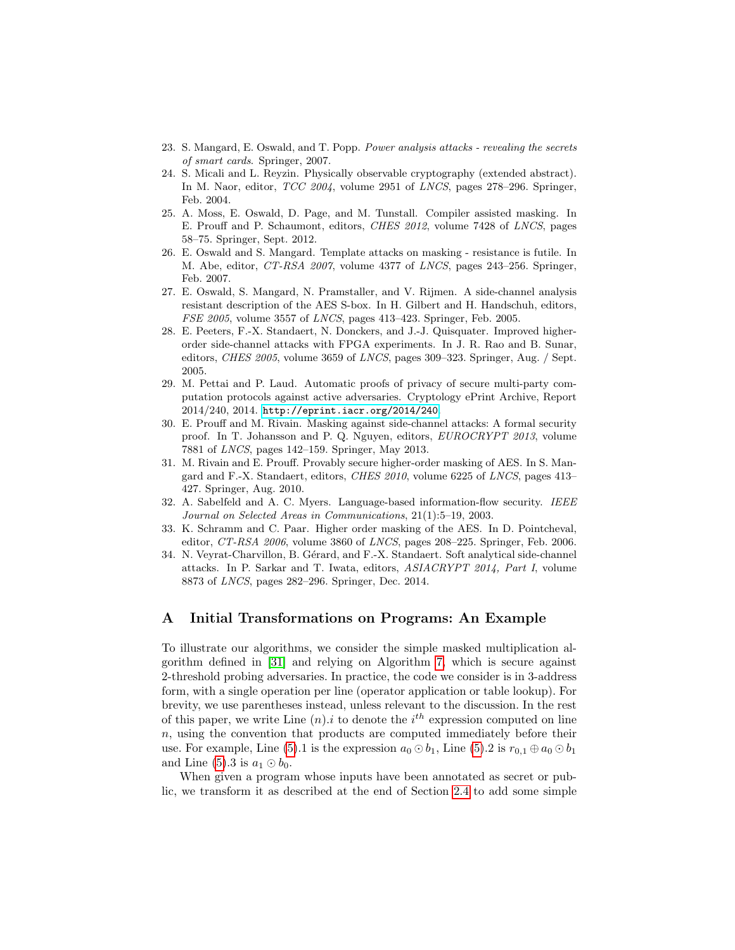- <span id="page-26-8"></span>23. S. Mangard, E. Oswald, and T. Popp. Power analysis attacks - revealing the secrets of smart cards. Springer, 2007.
- <span id="page-26-7"></span>24. S. Micali and L. Reyzin. Physically observable cryptography (extended abstract). In M. Naor, editor, TCC 2004, volume 2951 of LNCS, pages 278–296. Springer, Feb. 2004.
- <span id="page-26-9"></span>25. A. Moss, E. Oswald, D. Page, and M. Tunstall. Compiler assisted masking. In E. Prouff and P. Schaumont, editors, CHES 2012, volume 7428 of LNCS, pages 58–75. Springer, Sept. 2012.
- <span id="page-26-1"></span>26. E. Oswald and S. Mangard. Template attacks on masking - resistance is futile. In M. Abe, editor, CT-RSA 2007, volume 4377 of LNCS, pages 243–256. Springer, Feb. 2007.
- <span id="page-26-3"></span>27. E. Oswald, S. Mangard, N. Pramstaller, and V. Rijmen. A side-channel analysis resistant description of the AES S-box. In H. Gilbert and H. Handschuh, editors, FSE 2005, volume 3557 of LNCS, pages 413–423. Springer, Feb. 2005.
- <span id="page-26-2"></span>28. E. Peeters, F.-X. Standaert, N. Donckers, and J.-J. Quisquater. Improved higherorder side-channel attacks with FPGA experiments. In J. R. Rao and B. Sunar, editors, CHES 2005, volume 3659 of LNCS, pages 309–323. Springer, Aug. / Sept. 2005.
- <span id="page-26-11"></span>29. M. Pettai and P. Laud. Automatic proofs of privacy of secure multi-party computation protocols against active adversaries. Cryptology ePrint Archive, Report 2014/240, 2014. <http://eprint.iacr.org/2014/240>.
- <span id="page-26-6"></span>30. E. Prouff and M. Rivain. Masking against side-channel attacks: A formal security proof. In T. Johansson and P. Q. Nguyen, editors, EUROCRYPT 2013, volume 7881 of LNCS, pages 142–159. Springer, May 2013.
- <span id="page-26-5"></span>31. M. Rivain and E. Prouff. Provably secure higher-order masking of AES. In S. Mangard and F.-X. Standaert, editors, CHES 2010, volume 6225 of LNCS, pages 413– 427. Springer, Aug. 2010.
- <span id="page-26-10"></span>32. A. Sabelfeld and A. C. Myers. Language-based information-flow security. IEEE Journal on Selected Areas in Communications, 21(1):5–19, 2003.
- <span id="page-26-4"></span>33. K. Schramm and C. Paar. Higher order masking of the AES. In D. Pointcheval, editor, CT-RSA 2006, volume 3860 of LNCS, pages 208–225. Springer, Feb. 2006.
- <span id="page-26-0"></span>34. N. Veyrat-Charvillon, B. Gérard, and F.-X. Standaert. Soft analytical side-channel attacks. In P. Sarkar and T. Iwata, editors, ASIACRYPT 2014, Part I, volume 8873 of LNCS, pages 282–296. Springer, Dec. 2014.

## <span id="page-26-12"></span>A Initial Transformations on Programs: An Example

To illustrate our algorithms, we consider the simple masked multiplication algorithm defined in [\[31\]](#page-26-5) and relying on Algorithm [7,](#page-27-0) which is secure against 2-threshold probing adversaries. In practice, the code we consider is in 3-address form, with a single operation per line (operator application or table lookup). For brevity, we use parentheses instead, unless relevant to the discussion. In the rest of this paper, we write Line  $(n).i$  to denote the  $i<sup>th</sup>$  expression computed on line n, using the convention that products are computed immediately before their use. For example, Line [\(5\)](#page-27-0).1 is the expression  $a_0 \odot b_1$ , Line (5).2 is  $r_{0,1} \oplus a_0 \odot b_1$ and Line [\(5\)](#page-27-0).3 is  $a_1 \odot b_0$ .

When given a program whose inputs have been annotated as secret or public, we transform it as described at the end of Section [2.4](#page-9-0) to add some simple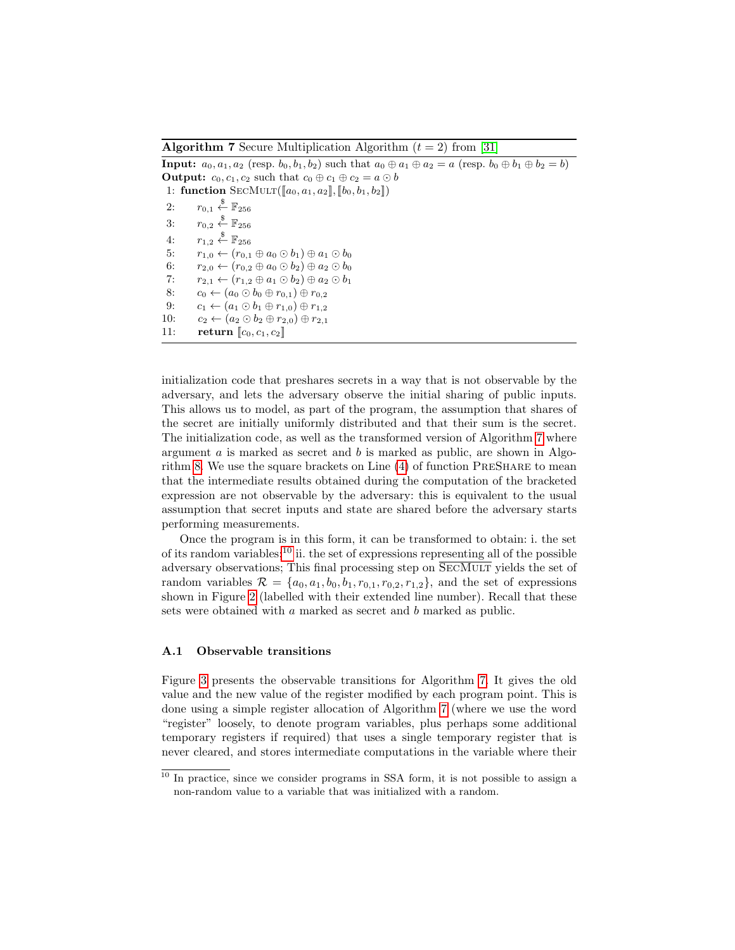Algorithm 7 Secure Multiplication Algorithm  $(t = 2)$  from [\[31\]](#page-26-5)

<span id="page-27-0"></span>**Input:**  $a_0, a_1, a_2$  (resp.  $b_0, b_1, b_2$ ) such that  $a_0 \oplus a_1 \oplus a_2 = a$  (resp.  $b_0 \oplus b_1 \oplus b_2 = b$ ) **Output:**  $c_0, c_1, c_2$  such that  $c_0 \oplus c_1 \oplus c_2 = a \odot b$ 1: **function** SECMULT( $[a_0, a_1, a_2], [b_0, b_1, b_2]$ )<br>2:  $r_{0,1} \stackrel{\$}{\leftarrow}$   $\mathbb{F}_{256}$ 2:  $r_{0,1} \overset{\$}{\leftarrow} \mathbb{F}_{256}$ 3:  $r_{0,2} \stackrel{\$}{\leftarrow} \mathbb{F}_{256}$ 4:  $r_{1,2} \overset{\$}{\leftarrow} \mathbb{F}_{256}$ 5:  $r_{1,0} \leftarrow (r_{0,1} \oplus a_0 \odot b_1) \oplus a_1 \odot b_0$ 6:  $r_{2,0} \leftarrow (r_{0,2} \oplus a_0 \odot b_2) \oplus a_2 \odot b_0$ 7:  $r_{2,1} \leftarrow (r_{1,2} \oplus a_1 \odot b_2) \oplus a_2 \odot b_1$ 8:  $c_0 \leftarrow (a_0 \odot b_0 \oplus r_{0,1}) \oplus r_{0,2}$ 9:  $c_1 \leftarrow (a_1 \odot b_1 \oplus r_{1,0}) \oplus r_{1,2}$ 10:  $c_2 \leftarrow (a_2 \odot b_2 \oplus r_{2,0}) \oplus r_{2,1}$ 11: **return**  $[c_0, c_1, c_2]$ 

initialization code that preshares secrets in a way that is not observable by the adversary, and lets the adversary observe the initial sharing of public inputs. This allows us to model, as part of the program, the assumption that shares of the secret are initially uniformly distributed and that their sum is the secret. The initialization code, as well as the transformed version of Algorithm [7](#page-27-0) where argument  $\alpha$  is marked as secret and  $\delta$  is marked as public, are shown in Algorithm [8.](#page-28-0) We use the square brackets on Line [\(4\)](#page-28-0) of function PreShare to mean that the intermediate results obtained during the computation of the bracketed expression are not observable by the adversary: this is equivalent to the usual assumption that secret inputs and state are shared before the adversary starts performing measurements.

Once the program is in this form, it can be transformed to obtain: i. the set of its random variables;<sup>[10](#page-27-1)</sup> ii. the set of expressions representing all of the possible adversary observations; This final processing step on  $\overline{\text{SecMULT}}$  yields the set of random variables  $\mathcal{R} = \{a_0, a_1, b_0, b_1, r_{0,1}, r_{0,2}, r_{1,2}\}\$ , and the set of expressions shown in Figure [2](#page-28-1) (labelled with their extended line number). Recall that these sets were obtained with a marked as secret and b marked as public.

### A.1 Observable transitions

Figure [3](#page-29-0) presents the observable transitions for Algorithm [7.](#page-27-0) It gives the old value and the new value of the register modified by each program point. This is done using a simple register allocation of Algorithm [7](#page-27-0) (where we use the word "register" loosely, to denote program variables, plus perhaps some additional temporary registers if required) that uses a single temporary register that is never cleared, and stores intermediate computations in the variable where their

<span id="page-27-1"></span> $10$  In practice, since we consider programs in SSA form, it is not possible to assign a non-random value to a variable that was initialized with a random.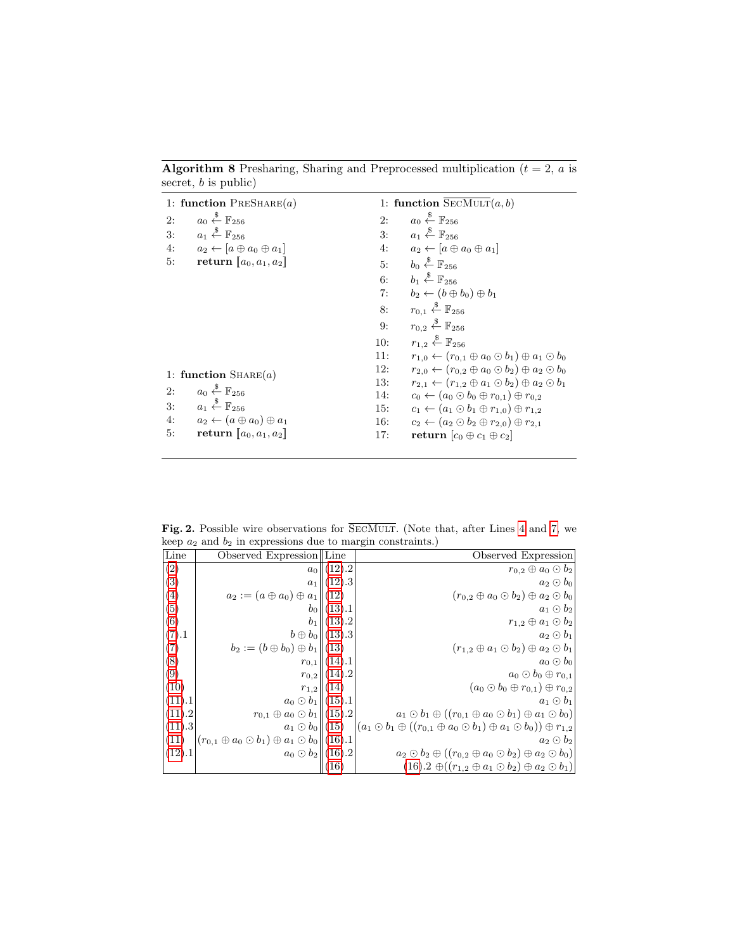Algorithm 8 Presharing, Sharing and Preprocessed multiplication  $(t = 2, a$  is secret, b is public)

<span id="page-28-0"></span>

| 1: function $PRESHARE(a)$                              | 1: function SECMULT $(a, b)$                                                    |
|--------------------------------------------------------|---------------------------------------------------------------------------------|
| $a_0 \stackrel{\$}{\leftarrow} \mathbb{F}_{256}$<br>2: | $a_0 \stackrel{\$}{\leftarrow} \mathbb{F}_{256}$<br>2:                          |
| $a_1 \stackrel{\$}{\leftarrow} \mathbb{F}_{256}$<br>3: | $a_1 \stackrel{\$}{\leftarrow} \mathbb{F}_{256}$<br>3:                          |
| 4:<br>$a_2 \leftarrow [a \oplus a_0 \oplus a_1]$       | $a_2 \leftarrow [a \oplus a_0 \oplus a_1]$<br>4:                                |
| return $[a_0, a_1, a_2]$<br>5:                         | 5: $b_0 \stackrel{\$}{\leftarrow} \mathbb{F}_{256}$                             |
|                                                        | 6: $b_1 \stackrel{\$}{\leftarrow} \mathbb{F}_{256}$                             |
|                                                        | 7:<br>$b_2 \leftarrow (b \oplus b_0) \oplus b_1$                                |
|                                                        | $r_{0.1} \overset{\$}{\leftarrow} \mathbb{F}_{256}$<br>8:                       |
|                                                        | $r_{0.2} \overset{\$}{\leftarrow} \mathbb{F}_{256}$<br>9:                       |
|                                                        | $r_1 \circ \overset{\$}{\leftarrow} \mathbb{F}_{256}$<br>10:                    |
|                                                        | 11:<br>$r_{1,0} \leftarrow (r_{0,1} \oplus a_0 \odot b_1) \oplus a_1 \odot b_0$ |
| 1: function $\text{SHARE}(a)$                          | $r_{2,0} \leftarrow (r_{0,2} \oplus a_0 \odot b_2) \oplus a_2 \odot b_0$<br>12: |
| $a_0 \stackrel{\$}{\leftarrow} \mathbb{F}_{256}$<br>2: | $r_{2,1} \leftarrow (r_{1,2} \oplus a_1 \odot b_2) \oplus a_2 \odot b_1$<br>13: |
|                                                        | 14:<br>$c_0 \leftarrow (a_0 \odot b_0 \oplus r_{0.1}) \oplus r_{0.2}$           |
| $a_1 \stackrel{\$}{\leftarrow} \mathbb{F}_{256}$<br>3: | 15:<br>$c_1 \leftarrow (a_1 \odot b_1 \oplus r_{1,0}) \oplus r_{1,2}$           |
| $a_2 \leftarrow (a \oplus a_0) \oplus a_1$<br>4:       | $c_2 \leftarrow (a_2 \odot b_2 \oplus r_{2,0}) \oplus r_{2,1}$<br>16:           |
| 5:<br><b>return</b> $[a_0, a_1, a_2]$                  | return $[c_0 \oplus c_1 \oplus c_2]$<br>17:                                     |

<span id="page-28-1"></span>Fig. 2. Possible wire observations for  $\overline{\text{SecMULT}}$ . (Note that, after Lines [4](#page-28-0) and [7,](#page-28-0) we keep  $a_2$  and  $b_2$  in expressions due to margin constraints.)

| Line   | Observed Expression Line                                                |                          | Observed Expression                                                                             |
|--------|-------------------------------------------------------------------------|--------------------------|-------------------------------------------------------------------------------------------------|
| (2)    |                                                                         | $a_0$   (12).2           | $r_{0,2}\oplus a_0\odot b_2$                                                                    |
| (3)    |                                                                         | $a_1$   (12).3           | $a_2 \odot b_0$                                                                                 |
| (4)    | $a_2 := (a \oplus a_0) \oplus a_1    (12)$                              |                          | $(r_{0,2}\oplus a_0\odot b_2)\oplus a_2\odot b_0$                                               |
| (5)    |                                                                         | $b_0$   (13).1           | $a_1 \odot b_2$                                                                                 |
| (6)    |                                                                         | $b_1$   (13).2           | $r_{1,2}\oplus a_1\odot b_2$                                                                    |
| (7).1  |                                                                         | $b \oplus b_0    (13).3$ | $a_2 \odot b_1$                                                                                 |
| (7)    | $b_2 := (b \oplus b_0) \oplus b_1    (13)$                              |                          | $(r_{1,2}\oplus a_1\odot b_2)\oplus a_2\odot b_1$                                               |
| (8)    |                                                                         | $r_{0,1}$   (14).1       | $a_0 \odot b_0$                                                                                 |
| (9)    |                                                                         | $r_{0,2}$   (14).2       | $a_0 \odot b_0 \oplus r_{0,1}$                                                                  |
| (10)   |                                                                         | $r_{1,2}$   (14)         | $(a_0 \odot b_0 \oplus r_{0,1}) \oplus r_{0,2}$                                                 |
| (11).1 | $a_0 \odot b_1    (15).1$                                               |                          | $a_1 \odot b_1$                                                                                 |
| (11).2 | $r_{0,1} \oplus a_0 \odot b_1    (15).2$                                |                          | $a_1 \odot b_1 \oplus ((r_{0,1} \oplus a_0 \odot b_1) \oplus a_1 \odot b_0))$                   |
| (11).3 | $a_1 \odot b_0    (15)$                                                 |                          | $ (a_1 \odot b_1 \oplus ((r_{0,1} \oplus a_0 \odot b_1) \oplus a_1 \odot b_0)) \oplus r_{1,2} $ |
| (11)   | $\exists (r_{0,1} \oplus a_0 \odot b_1) \oplus a_1 \odot b_0    (16).1$ |                          | $a_2 \odot b_2$                                                                                 |
| (12).1 | $a_0 \odot b_2    (16).2$                                               |                          | $a_2 \odot b_2 \oplus ((r_0, a \oplus a_0 \odot b_2) \oplus a_2 \odot b_0))$                    |
|        |                                                                         | (16)                     | $(16).2 \oplus ((r_{1,2} \oplus a_1 \odot b_2) \oplus a_2 \odot b_1)$                           |